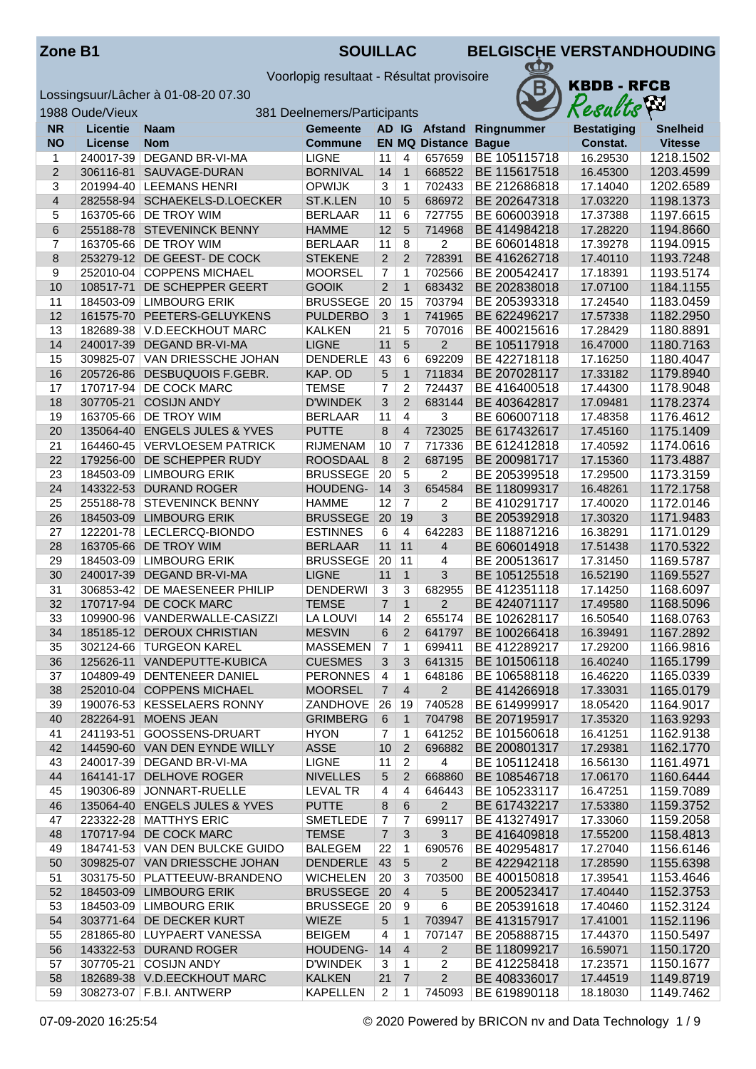Voorlopig resultaat - Résultat provisoire



| 1988 Oude/Vieux<br>381 Deelnemers/Participants |                 |                                                      |                                 |                |                | hт<br>Results               |                              |                      |                        |
|------------------------------------------------|-----------------|------------------------------------------------------|---------------------------------|----------------|----------------|-----------------------------|------------------------------|----------------------|------------------------|
| <b>NR</b>                                      | <b>Licentie</b> | <b>Naam</b>                                          | <b>Gemeente</b>                 |                |                |                             | AD IG Afstand Ringnummer     | <b>Bestatiging</b>   | <b>Snelheid</b>        |
| <b>NO</b>                                      | License         | <b>Nom</b>                                           | <b>Commune</b>                  |                |                | <b>EN MQ Distance Bague</b> |                              | Constat.             | <b>Vitesse</b>         |
| 1                                              |                 | 240017-39 DEGAND BR-VI-MA                            | <b>LIGNE</b>                    | 11             | 4              | 657659                      | BE 105115718                 | 16.29530             | 1218.1502              |
| $\overline{2}$                                 | 306116-81       | SAUVAGE-DURAN                                        | <b>BORNIVAL</b>                 | 14             | $\overline{1}$ | 668522                      | BE 115617518                 | 16.45300             | 1203.4599              |
| 3                                              |                 | 201994-40   LEEMANS HENRI                            | <b>OPWIJK</b>                   | 3              | $\overline{1}$ | 702433                      | BE 212686818                 | 17.14040             | 1202.6589              |
| $\overline{4}$                                 |                 | 282558-94 SCHAEKELS-D.LOECKER                        | ST.K.LEN                        | 10             | 5              | 686972                      | BE 202647318                 | 17.03220             | 1198.1373              |
| 5                                              |                 | 163705-66   DE TROY WIM                              | <b>BERLAAR</b>                  | 11             | 6              | 727755                      | BE 606003918                 | 17.37388             | 1197.6615              |
| 6                                              |                 | 255188-78 STEVENINCK BENNY                           | <b>HAMME</b>                    | 12             | 5              | 714968                      | BE 414984218                 | 17.28220             | 1194.8660              |
| 7                                              |                 | 163705-66 DE TROY WIM                                | <b>BERLAAR</b>                  | 11             | 8              | $\overline{2}$              | BE 606014818                 | 17.39278             | 1194.0915              |
| 8                                              |                 | 253279-12 DE GEEST- DE COCK                          | <b>STEKENE</b>                  | $\overline{2}$ | $\overline{2}$ | 728391                      | BE 416262718                 | 17.40110             | 1193.7248              |
| 9                                              |                 | 252010-04 COPPENS MICHAEL                            | <b>MOORSEL</b>                  | 7              | 1              | 702566                      | BE 200542417                 | 17.18391             | 1193.5174              |
| 10                                             | 108517-71       | DE SCHEPPER GEERT                                    | <b>GOOIK</b>                    | $\overline{2}$ | $\mathbf{1}$   | 683432                      | BE 202838018                 | 17.07100             | 1184.1155              |
| 11                                             |                 | 184503-09 LIMBOURG ERIK                              | <b>BRUSSEGE</b>                 | 20             | 15             | 703794                      | BE 205393318                 | 17.24540             | 1183.0459              |
| 12                                             | 161575-70       | PEETERS-GELUYKENS                                    | <b>PULDERBO</b>                 | $\mathbf{3}$   | $\mathbf{1}$   | 741965                      | BE 622496217                 | 17.57338             | 1182.2950              |
| 13                                             |                 | 182689-38 V.D.EECKHOUT MARC                          | <b>KALKEN</b>                   | 21             | 5              | 707016                      | BE 400215616                 | 17.28429             | 1180.8891              |
| 14                                             | 240017-39       | DEGAND BR-VI-MA                                      | <b>LIGNE</b>                    | 11             | $5\phantom{1}$ | $\overline{2}$              | BE 105117918                 | 16.47000             | 1180.7163              |
| 15                                             | 309825-07       | VAN DRIESSCHE JOHAN                                  | <b>DENDERLE</b>                 | 43             | 6              | 692209                      | BE 422718118                 | 17.16250             | 1180.4047              |
| 16                                             | 205726-86       | <b>DESBUQUOIS F.GEBR.</b>                            | KAP. OD                         | 5              | $\mathbf{1}$   | 711834                      | BE 207028117                 | 17.33182             | 1179.8940              |
| 17                                             |                 | 170717-94 DE COCK MARC                               | <b>TEMSE</b>                    | 7              | 2              | 724437                      | BE 416400518                 | 17.44300             | 1178.9048              |
| 18                                             | 307705-21       | <b>COSIJN ANDY</b>                                   | <b>D'WINDEK</b>                 | 3              | 2              | 683144                      | BE 403642817                 | 17.09481             | 1178.2374              |
| 19                                             |                 | 163705-66   DE TROY WIM                              | <b>BERLAAR</b>                  | 11             | $\overline{4}$ | 3                           | BE 606007118                 | 17.48358             | 1176.4612              |
| 20                                             |                 | 135064-40 ENGELS JULES & YVES                        | <b>PUTTE</b>                    | $\,8\,$        | $\overline{4}$ | 723025                      | BE 617432617                 | 17.45160             | 1175.1409              |
| 21                                             |                 | 164460-45 VERVLOESEM PATRICK                         | <b>RIJMENAM</b>                 | 10             | $\overline{7}$ | 717336                      | BE 612412818                 | 17.40592             | 1174.0616              |
| 22                                             | 179256-00       | <b>DE SCHEPPER RUDY</b>                              | ROOSDAAL                        | 8              | 2              | 687195                      | BE 200981717                 | 17.15360             | 1173.4887              |
| 23                                             |                 | 184503-09 LIMBOURG ERIK                              | <b>BRUSSEGE</b>                 | 20             | $\overline{5}$ | 2                           | BE 205399518                 | 17.29500             | 1173.3159              |
| 24                                             |                 | 143322-53 DURAND ROGER                               | HOUDENG-                        | 14             | 3              | 654584                      | BE 118099317                 | 16.48261             | 1172.1758              |
| 25                                             |                 | 255188-78 STEVENINCK BENNY                           | <b>HAMME</b>                    | 12             | $\overline{7}$ | 2                           | BE 410291717                 | 17.40020             | 1172.0146              |
| 26                                             |                 | 184503-09 LIMBOURG ERIK                              | <b>BRUSSEGE</b>                 | 20             | 19             | 3                           | BE 205392918                 | 17.30320             | 1171.9483              |
| 27                                             |                 | 122201-78   LECLERCQ-BIONDO                          | <b>ESTINNES</b>                 | 6              | 4              | 642283                      | BE 118871216                 | 16.38291             | 1171.0129              |
| 28                                             | 163705-66       | DE TROY WIM                                          | <b>BERLAAR</b>                  | 11             | 11<br>11       | $\overline{\mathbf{4}}$     | BE 606014918                 | 17.51438             | 1170.5322              |
| 29<br>30                                       |                 | 184503-09 LIMBOURG ERIK<br>240017-39 DEGAND BR-VI-MA | <b>BRUSSEGE</b><br><b>LIGNE</b> | 20<br>11       | $\mathbf{1}$   | 4<br>3                      | BE 200513617<br>BE 105125518 | 17.31450<br>16.52190 | 1169.5787<br>1169.5527 |
| 31                                             |                 | 306853-42 DE MAESENEER PHILIP                        | <b>DENDERWI</b>                 | 3              | 3              | 682955                      | BE 412351118                 | 17.14250             | 1168.6097              |
| 32                                             | 170717-94       | <b>DE COCK MARC</b>                                  | <b>TEMSE</b>                    | $\overline{7}$ | $\mathbf{1}$   | $\overline{2}$              | BE 424071117                 | 17.49580             | 1168.5096              |
| 33                                             |                 | 109900-96   VANDERWALLE-CASIZZI                      | LA LOUVI                        | 14             | $\overline{2}$ | 655174                      | BE 102628117                 | 16.50540             | 1168.0763              |
| 34                                             |                 | 185185-12 DEROUX CHRISTIAN                           | <b>MESVIN</b>                   | 6              | $\overline{2}$ | 641797                      | BE 100266418                 | 16.39491             | 1167.2892              |
| 35                                             |                 | 302124-66 TURGEON KAREL                              | <b>MASSEMEN</b>                 | $\overline{7}$ | $\mathbf{1}$   | 699411                      | BE 412289217                 | 17.29200             | 1166.9816              |
| 36                                             |                 | 125626-11 VANDEPUTTE-KUBICA                          | <b>CUESMES</b>                  | 3              | 3              | 641315                      | BE 101506118                 | 16.40240             | 1165.1799              |
| 37                                             |                 | 104809-49   DENTENEER DANIEL                         | <b>PERONNES</b>                 | 4              | 1              | 648186                      | BE 106588118                 | 16.46220             | 1165.0339              |
| 38                                             |                 | 252010-04 COPPENS MICHAEL                            | <b>MOORSEL</b>                  | $\overline{7}$ | $\overline{4}$ | $\overline{2}$              | BE 414266918                 | 17.33031             | 1165.0179              |
| 39                                             |                 | 190076-53 KESSELAERS RONNY                           | <b>ZANDHOVE</b>                 | 26             | 19             | 740528                      | BE 614999917                 | 18.05420             | 1164.9017              |
| 40                                             |                 | 282264-91 MOENS JEAN                                 | <b>GRIMBERG</b>                 | 6              | $\mathbf{1}$   | 704798                      | BE 207195917                 | 17.35320             | 1163.9293              |
| 41                                             |                 | 241193-51 GOOSSENS-DRUART                            | <b>HYON</b>                     | $\overline{7}$ | $\mathbf{1}$   | 641252                      | BE 101560618                 | 16.41251             | 1162.9138              |
| 42                                             |                 | 144590-60 VAN DEN EYNDE WILLY                        | <b>ASSE</b>                     | 10             | $\overline{2}$ | 696882                      | BE 200801317                 | 17.29381             | 1162.1770              |
| 43                                             |                 | 240017-39   DEGAND BR-VI-MA                          | <b>LIGNE</b>                    | 11             | $\overline{2}$ | 4                           | BE 105112418                 | 16.56130             | 1161.4971              |
| 44                                             |                 | 164141-17 DELHOVE ROGER                              | <b>NIVELLES</b>                 | 5              | $\overline{2}$ | 668860                      | BE 108546718                 | 17.06170             | 1160.6444              |
| 45                                             |                 | 190306-89 JONNART-RUELLE                             | LEVAL TR                        | 4              | 4              | 646443                      | BE 105233117                 | 16.47251             | 1159.7089              |
| 46                                             |                 | 135064-40 ENGELS JULES & YVES                        | <b>PUTTE</b>                    | 8              | 6              | $\overline{2}$              | BE 617432217                 | 17.53380             | 1159.3752              |
| 47                                             |                 | 223322-28   MATTHYS ERIC                             | SMETLEDE                        | 7              | 7              | 699117                      | BE 413274917                 | 17.33060             | 1159.2058              |
| 48                                             |                 | 170717-94 DE COCK MARC                               | <b>TEMSE</b>                    | $\overline{7}$ | $\mathfrak{B}$ | 3                           | BE 416409818                 | 17.55200             | 1158.4813              |
| 49                                             |                 | 184741-53 VAN DEN BULCKE GUIDO                       | <b>BALEGEM</b>                  | 22             | $\overline{1}$ | 690576                      | BE 402954817                 | 17.27040             | 1156.6146              |
| 50                                             |                 | 309825-07 VAN DRIESSCHE JOHAN                        | <b>DENDERLE</b>                 | 43             | $\sqrt{5}$     | 2                           | BE 422942118                 | 17.28590             | 1155.6398              |
| 51                                             |                 | 303175-50 PLATTEEUW-BRANDENO                         | <b>WICHELEN</b>                 | 20             | 3              | 703500                      | BE 400150818                 | 17.39541             | 1153.4646              |
| 52                                             |                 | 184503-09 LIMBOURG ERIK                              | <b>BRUSSEGE</b>                 | 20             | $\overline{4}$ | 5                           | BE 200523417                 | 17.40440             | 1152.3753              |
| 53                                             |                 | 184503-09 LIMBOURG ERIK                              | <b>BRUSSEGE</b>                 | 20             | 9              | 6                           | BE 205391618                 | 17.40460             | 1152.3124              |
| 54                                             |                 | 303771-64 DE DECKER KURT                             | <b>WIEZE</b>                    | 5              | $\mathbf{1}$   | 703947                      | BE 413157917                 | 17.41001             | 1152.1196              |
| 55                                             |                 | 281865-80 LUYPAERT VANESSA                           | <b>BEIGEM</b>                   | 4              | 1              | 707147                      | BE 205888715                 | 17.44370             | 1150.5497              |
| 56                                             |                 | 143322-53 DURAND ROGER                               | HOUDENG-                        | 14             | $\overline{4}$ | 2                           | BE 118099217                 | 16.59071             | 1150.1720              |
| 57                                             |                 | 307705-21 COSIJN ANDY                                | <b>D'WINDEK</b>                 | 3              | $\mathbf{1}$   | 2                           | BE 412258418                 | 17.23571             | 1150.1677              |
| 58                                             |                 | 182689-38 V.D.EECKHOUT MARC                          | <b>KALKEN</b>                   | 21             | $\overline{7}$ | $\overline{2}$              | BE 408336017                 | 17.44519             | 1149.8719              |
| 59                                             |                 | 308273-07   F.B.I. ANTWERP                           | <b>KAPELLEN</b>                 | 2              | $\mathbf{1}$   | 745093                      | BE 619890118                 | 18.18030             | 1149.7462              |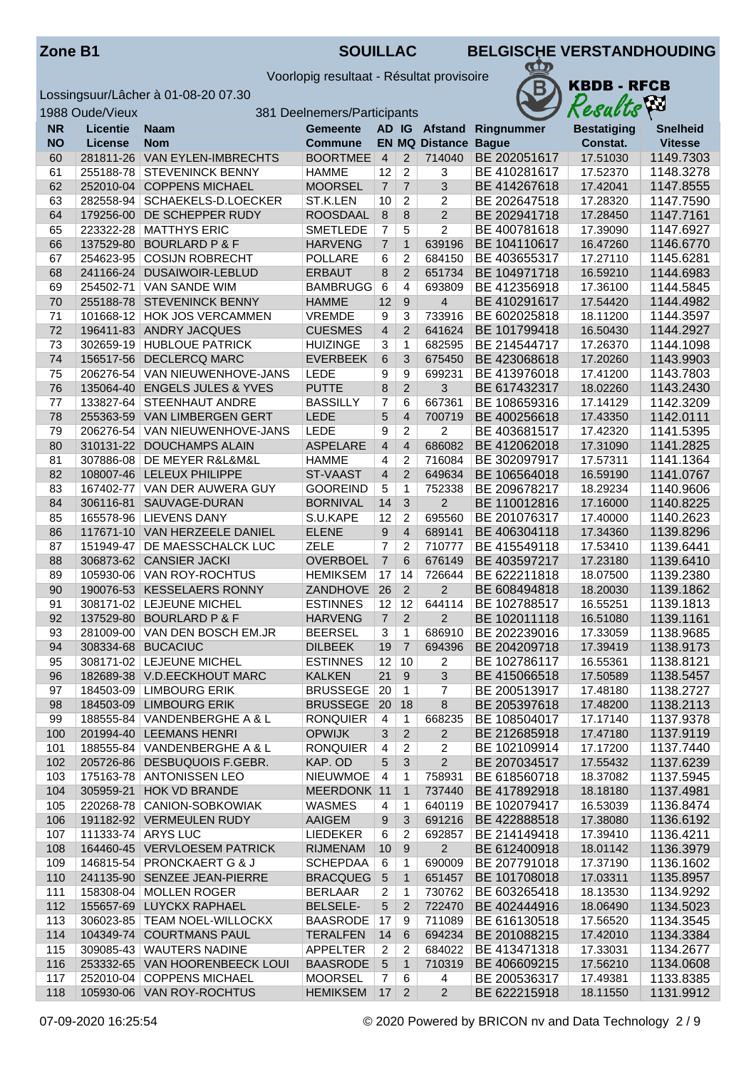Voorlopig resultaat - Résultat provisoire



|           | 1988 Oude/Vieux |                                                        | 381 Deelnemers/Participants       |                      |                      |                             |                              | Results              | ha.                    |
|-----------|-----------------|--------------------------------------------------------|-----------------------------------|----------------------|----------------------|-----------------------------|------------------------------|----------------------|------------------------|
| <b>NR</b> | Licentie        | <b>Naam</b>                                            | <b>Gemeente</b>                   |                      |                      |                             | AD IG Afstand Ringnummer     | <b>Bestatiging</b>   | <b>Snelheid</b>        |
| <b>NO</b> | License         | <b>Nom</b>                                             | Commune                           |                      |                      | <b>EN MQ Distance Bague</b> |                              | Constat.             | <b>Vitesse</b>         |
| 60        |                 | 281811-26 VAN EYLEN-IMBRECHTS                          | <b>BOORTMEE</b>                   | $\overline{4}$       | $\overline{2}$       | 714040                      | BE 202051617                 | 17.51030             | 1149.7303              |
| 61        |                 | 255188-78 STEVENINCK BENNY                             | <b>HAMME</b>                      | 12                   | $\overline{2}$       | 3                           | BE 410281617                 | 17.52370             | 1148.3278              |
| 62        |                 | 252010-04 COPPENS MICHAEL                              | <b>MOORSEL</b>                    | $\overline{7}$       | $\overline{7}$       | 3                           | BE 414267618                 | 17.42041             | 1147.8555              |
| 63        |                 | 282558-94 SCHAEKELS-D.LOECKER                          | ST.K.LEN                          | 10                   | $\overline{c}$       | $\overline{2}$              | BE 202647518                 | 17.28320             | 1147.7590              |
| 64        | 179256-00       | DE SCHEPPER RUDY                                       | <b>ROOSDAAL</b>                   | 8                    | 8                    | $\overline{2}$              | BE 202941718                 | 17.28450             | 1147.7161              |
| 65        |                 | 223322-28   MATTHYS ERIC                               | SMETLEDE                          | $\overline{7}$       | 5                    | $\overline{2}$              | BE 400781618                 | 17.39090             | 1147.6927              |
| 66        | 137529-80       | <b>BOURLARD P &amp; F</b>                              | <b>HARVENG</b>                    | $\overline{7}$       | $\mathbf{1}$         | 639196                      | BE 104110617                 | 16.47260             | 1146.6770              |
| 67        |                 | 254623-95 COSIJN ROBRECHT                              | <b>POLLARE</b>                    | 6                    | $\overline{c}$       | 684150                      | BE 403655317                 | 17.27110             | 1145.6281              |
| 68        | 241166-24       | DUSAIWOIR-LEBLUD                                       | <b>ERBAUT</b>                     | 8                    | 2                    | 651734                      | BE 104971718                 | 16.59210             | 1144.6983              |
| 69        | 254502-71       | <b>VAN SANDE WIM</b>                                   | <b>BAMBRUGG</b>                   | $6\overline{6}$      | 4                    | 693809                      | BE 412356918                 | 17.36100             | 1144.5845              |
| 70        | 255188-78       | <b>STEVENINCK BENNY</b>                                | <b>HAMME</b>                      | 12                   | 9                    | 4                           | BE 410291617                 | 17.54420             | 1144.4982              |
| 71        |                 | 101668-12 HOK JOS VERCAMMEN                            | <b>VREMDE</b>                     | 9                    | 3                    | 733916                      | BE 602025818                 | 18.11200             | 1144.3597              |
| 72        |                 | 196411-83 ANDRY JACQUES                                | <b>CUESMES</b>                    | $\overline{4}$       | 2                    | 641624                      | BE 101799418                 | 16.50430             | 1144.2927              |
| 73        |                 | 302659-19 HUBLOUE PATRICK                              | <b>HUIZINGE</b>                   | 3                    | 1                    | 682595                      | BE 214544717                 | 17.26370             | 1144.1098              |
| 74        | 156517-56       | <b>DECLERCQ MARC</b>                                   | <b>EVERBEEK</b>                   | 6                    | 3                    | 675450                      | BE 423068618                 | 17.20260             | 1143.9903              |
| 75        |                 | 206276-54 VAN NIEUWENHOVE-JANS                         | <b>LEDE</b>                       | 9                    | 9                    | 699231                      | BE 413976018                 | 17.41200             | 1143.7803              |
| 76        | 135064-40       | <b>ENGELS JULES &amp; YVES</b>                         | <b>PUTTE</b>                      | 8                    | $\overline{2}$       | 3                           | BE 617432317                 | 18.02260             | 1143.2430              |
| 77        |                 | 133827-64 STEENHAUT ANDRE                              | <b>BASSILLY</b>                   | 7                    | 6                    | 667361                      | BE 108659316                 | 17.14129             | 1142.3209              |
| 78        |                 | 255363-59 VAN LIMBERGEN GERT                           | LEDE                              | 5                    | $\overline{4}$       | 700719                      | BE 400256618                 | 17.43350             | 1142.0111              |
| 79        |                 | 206276-54 VAN NIEUWENHOVE-JANS                         | LEDE                              | 9                    | $\overline{2}$       | $\overline{2}$              | BE 403681517                 | 17.42320             | 1141.5395              |
| 80        |                 | 310131-22 DOUCHAMPS ALAIN                              | <b>ASPELARE</b>                   | $\overline{4}$       | $\overline{4}$       | 686082                      | BE 412062018                 | 17.31090             | 1141.2825              |
| 81        |                 | 307886-08   DE MEYER R&L&M&L                           | <b>HAMME</b>                      | 4                    | $\overline{c}$       | 716084                      | BE 302097917                 | 17.57311             | 1141.1364              |
| 82        |                 | 108007-46 LELEUX PHILIPPE                              | ST-VAAST                          | $\overline{4}$       | $\overline{2}$       | 649634                      | BE 106564018                 | 16.59190             | 1141.0767              |
| 83        | 167402-77       | VAN DER AUWERA GUY                                     | <b>GOOREIND</b>                   | 5                    | $\mathbf{1}$         | 752338                      | BE 209678217                 | 18.29234             | 1140.9606              |
| 84        | 306116-81       | SAUVAGE-DURAN                                          | <b>BORNIVAL</b>                   | 14                   | $\overline{3}$       | $\overline{2}$              | BE 110012816                 | 17.16000             | 1140.8225              |
| 85        |                 | 165578-96 LIEVENS DANY                                 | S.U.KAPE                          | 12                   | $\overline{2}$       | 695560                      | BE 201076317                 | 17.40000             | 1140.2623              |
| 86        |                 | 117671-10 VAN HERZEELE DANIEL                          | <b>ELENE</b>                      | 9                    | $\overline{4}$       | 689141                      | BE 406304118                 | 17.34360             | 1139.8296              |
| 87        | 151949-47       | <b>DE MAESSCHALCK LUC</b>                              | <b>ZELE</b>                       | 7                    | $\overline{c}$       | 710777                      | BE 415549118                 | 17.53410             | 1139.6441              |
| 88        |                 | 306873-62 CANSIER JACKI                                | <b>OVERBOEL</b>                   | $\overline{7}$       | 6                    | 676149                      | BE 403597217                 | 17.23180             | 1139.6410              |
| 89        |                 | 105930-06 VAN ROY-ROCHTUS                              | <b>HEMIKSEM</b>                   | 17                   | 14                   | 726644                      | BE 622211818                 | 18.07500             | 1139.2380              |
| 90        |                 | 190076-53 KESSELAERS RONNY                             | <b>ZANDHOVE</b>                   | 26                   | $\overline{2}$       | $\overline{2}$              | BE 608494818                 | 18.20030             | 1139.1862              |
| 91<br>92  |                 | 308171-02   LEJEUNE MICHEL<br>137529-80 BOURLARD P & F | <b>ESTINNES</b><br><b>HARVENG</b> | 12<br>$\overline{7}$ | 12<br>$\overline{2}$ | 644114<br>$\overline{2}$    | BE 102788517<br>BE 102011118 | 16.55251<br>16.51080 | 1139.1813<br>1139.1161 |
| 93        |                 | 281009-00 VAN DEN BOSCH EM.JR                          | <b>BEERSEL</b>                    | 3                    | $\mathbf{1}$         | 686910                      | BE 202239016                 | 17.33059             | 1138.9685              |
| 94        |                 | 308334-68 BUCACIUC                                     | <b>DILBEEK</b>                    | 19                   | $\overline{7}$       | 694396                      | BE 204209718                 | 17.39419             | 1138.9173              |
| 95        |                 | 308171-02 LEJEUNE MICHEL                               | <b>ESTINNES</b>                   |                      | $12$ 10              | $\overline{c}$              | BE 102786117                 | 16.55361             | 1138.8121              |
| 96        |                 | 182689-38 V.D.EECKHOUT MARC                            | <b>KALKEN</b>                     | 21                   | 9                    | 3                           | BE 415066518                 | 17.50589             | 1138.5457              |
| 97        |                 | 184503-09 LIMBOURG ERIK                                | <b>BRUSSEGE</b>                   | 20                   | $\mathbf{1}$         | 7                           | BE 200513917                 | 17.48180             | 1138.2727              |
| 98        |                 | 184503-09 LIMBOURG ERIK                                | BRUSSEGE   20                     |                      | 18                   | 8                           | BE 205397618                 | 17.48200             | 1138.2113              |
| 99        |                 | 188555-84 VANDENBERGHE A & L                           | <b>RONQUIER</b>                   | 4                    | $\mathbf{1}$         | 668235                      | BE 108504017                 | 17.17140             | 1137.9378              |
| 100       |                 | 201994-40 LEEMANS HENRI                                | <b>OPWIJK</b>                     | 3                    | $\overline{2}$       | $\overline{2}$              | BE 212685918                 | 17.47180             | 1137.9119              |
| 101       |                 | 188555-84 VANDENBERGHE A & L                           | <b>RONQUIER</b>                   | 4                    | 2                    | 2                           | BE 102109914                 | 17.17200             | 1137.7440              |
| 102       |                 | 205726-86 DESBUQUOIS F.GEBR.                           | KAP. OD                           | 5                    | 3                    | $\overline{2}$              | BE 207034517                 | 17.55432             | 1137.6239              |
| 103       |                 | 175163-78 ANTONISSEN LEO                               | <b>NIEUWMOE</b>                   | $\overline{4}$       | 1                    | 758931                      | BE 618560718                 | 18.37082             | 1137.5945              |
| 104       |                 | 305959-21 HOK VD BRANDE                                | MEERDONK 11                       |                      | $\mathbf{1}$         | 737440                      | BE 417892918                 | 18.18180             | 1137.4981              |
| 105       |                 | 220268-78 CANION-SOBKOWIAK                             | WASMES                            | 4                    | 1                    | 640119                      | BE 102079417                 | 16.53039             | 1136.8474              |
| 106       |                 | 191182-92 VERMEULEN RUDY                               | <b>AAIGEM</b>                     | 9                    | 3                    | 691216                      | BE 422888518                 | 17.38080             | 1136.6192              |
| 107       |                 | 111333-74 ARYS LUC                                     | LIEDEKER                          | 6                    | $\overline{2}$       | 692857                      | BE 214149418                 | 17.39410             | 1136.4211              |
| 108       |                 | 164460-45 VERVLOESEM PATRICK                           | <b>RIJMENAM</b>                   | 10                   | 9                    | $\overline{2}$              | BE 612400918                 | 18.01142             | 1136.3979              |
| 109       |                 | 146815-54 PRONCKAERT G & J                             | <b>SCHEPDAA</b>                   | 6                    | $\mathbf{1}$         | 690009                      | BE 207791018                 | 17.37190             | 1136.1602              |
| 110       |                 | 241135-90 SENZEE JEAN-PIERRE                           | <b>BRACQUEG</b>                   | $\overline{5}$       | $\mathbf 1$          | 651457                      | BE 101708018                 | 17.03311             | 1135.8957              |
| 111       |                 | 158308-04   MOLLEN ROGER                               | <b>BERLAAR</b>                    | 2                    | $\mathbf{1}$         | 730762                      | BE 603265418                 | 18.13530             | 1134.9292              |
| 112       |                 | 155657-69 LUYCKX RAPHAEL                               | <b>BELSELE-</b>                   | 5                    | $\overline{2}$       | 722470                      | BE 402444916                 | 18.06490             | 1134.5023              |
| 113       |                 | 306023-85   TEAM NOEL-WILLOCKX                         | BAASRODE                          | 17                   | 9                    | 711089                      | BE 616130518                 | 17.56520             | 1134.3545              |
| 114       |                 | 104349-74 COURTMANS PAUL                               | <b>TERALFEN</b>                   | 14                   | 6                    | 694234                      | BE 201088215                 | 17.42010             | 1134.3384              |
| 115       |                 | 309085-43 WAUTERS NADINE                               | APPELTER                          | 2                    | $\overline{c}$       | 684022                      | BE 413471318                 | 17.33031             | 1134.2677              |
| 116       |                 | 253332-65 VAN HOORENBEECK LOUI                         | <b>BAASRODE</b>                   | $\sqrt{5}$           | $\mathbf{1}$         | 710319                      | BE 406609215                 | 17.56210             | 1134.0608              |
| 117       |                 | 252010-04 COPPENS MICHAEL                              | <b>MOORSEL</b>                    | $\overline{7}$       | 6                    | 4                           | BE 200536317                 | 17.49381             | 1133.8385              |
| 118       |                 | 105930-06 VAN ROY-ROCHTUS                              | <b>HEMIKSEM</b>                   | 17                   | $\overline{2}$       | $\overline{2}$              | BE 622215918                 | 18.11550             | 1131.9912              |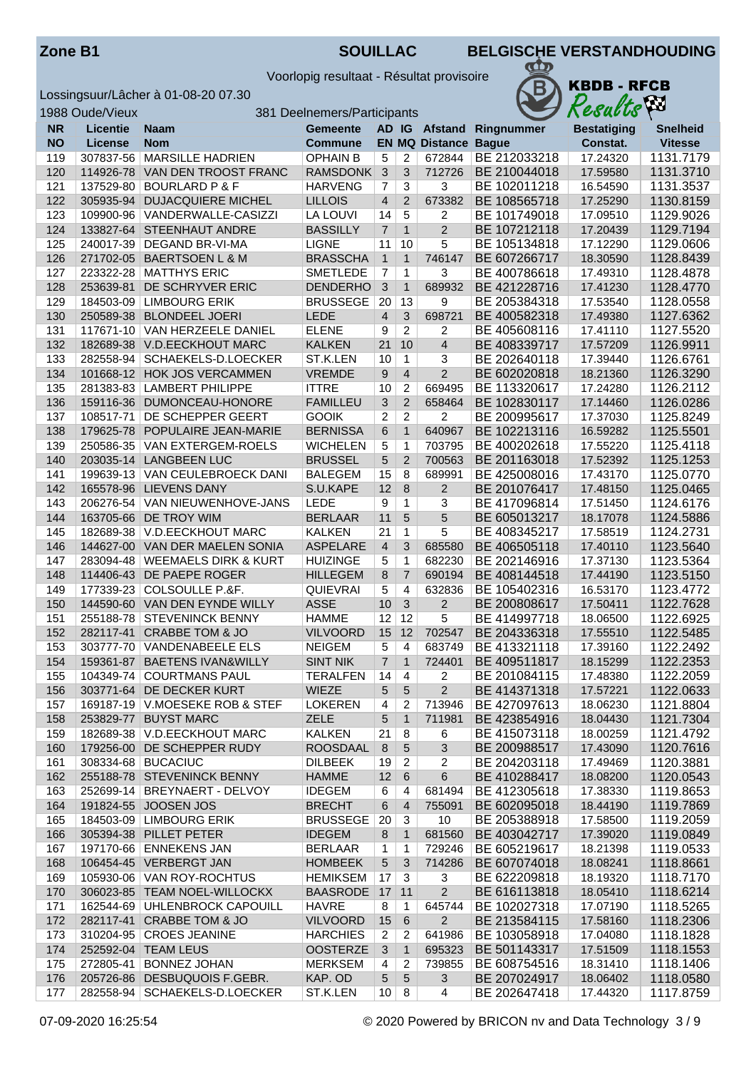| <b>Zone B1</b> |  |
|----------------|--|
|----------------|--|

**ZOUILLAC BELGISCHE VERSTANDHOUDING** 

Voorlopig resultaat - Résultat provisoire



|            | 1988 Oude/Vieux | 381 Deelnemers/Participants                          | VУ<br>Results                  |                   |                         |                             |                              |                      |                        |
|------------|-----------------|------------------------------------------------------|--------------------------------|-------------------|-------------------------|-----------------------------|------------------------------|----------------------|------------------------|
| <b>NR</b>  | <b>Licentie</b> | <b>Naam</b>                                          | Gemeente                       |                   |                         |                             | AD IG Afstand Ringnummer     | <b>Bestatiging</b>   | <b>Snelheid</b>        |
| <b>NO</b>  | <b>License</b>  | <b>Nom</b>                                           | <b>Commune</b>                 |                   |                         | <b>EN MQ Distance Bague</b> |                              | Constat.             | <b>Vitesse</b>         |
| 119        | 307837-56       | <b>MARSILLE HADRIEN</b>                              | <b>OPHAIN B</b>                | 5                 | 2                       | 672844                      | BE 212033218                 | 17.24320             | 1131.7179              |
| 120        |                 | 114926-78 VAN DEN TROOST FRANC                       | <b>RAMSDONK</b>                | $\mathbf{3}$      | 3                       | 712726                      | BE 210044018                 | 17.59580             | 1131.3710              |
| 121        | 137529-80       | <b>BOURLARD P &amp; F</b>                            | <b>HARVENG</b>                 | $\overline{7}$    | $\overline{3}$          | 3                           | BE 102011218                 | 16.54590             | 1131.3537              |
| 122        | 305935-94       | <b>DUJACQUIERE MICHEL</b>                            | <b>LILLOIS</b>                 | $\overline{4}$    | $\overline{2}$          | 673382                      | BE 108565718                 | 17.25290             | 1130.8159              |
| 123        |                 | 109900-96   VANDERWALLE-CASIZZI                      | LA LOUVI                       | 14                | $\overline{5}$          | $\overline{c}$              | BE 101749018                 | 17.09510             | 1129.9026              |
| 124        | 133827-64       | <b>STEENHAUT ANDRE</b>                               | <b>BASSILLY</b>                | $\overline{7}$    | $\mathbf{1}$            | $\overline{2}$              | BE 107212118                 | 17.20439             | 1129.7194              |
| 125        | 240017-39       | DEGAND BR-VI-MA                                      | <b>LIGNE</b>                   | 11                | 10                      | 5                           | BE 105134818                 | 17.12290             | 1129.0606              |
| 126        | 271702-05       | <b>BAERTSOEN L &amp; M</b>                           | <b>BRASSCHA</b>                | $\mathbf{1}$      | $\mathbf{1}$            | 746147                      | BE 607266717                 | 18.30590             | 1128.8439              |
| 127        | 223322-28       | <b>MATTHYS ERIC</b>                                  | <b>SMETLEDE</b>                | $\overline{7}$    | 1                       | 3                           | BE 400786618                 | 17.49310             | 1128.4878              |
| 128        | 253639-81       | DE SCHRYVER ERIC                                     | <b>DENDERHO</b>                | 3                 | $\mathbf{1}$            | 689932                      | BE 421228716                 | 17.41230             | 1128.4770              |
| 129        | 184503-09       | <b>LIMBOURG ERIK</b>                                 | <b>BRUSSEGE</b>                | 20                | 13                      | 9                           | BE 205384318                 | 17.53540             | 1128.0558              |
| 130        | 250589-38       | <b>BLONDEEL JOERI</b>                                | LEDE                           | $\overline{4}$    | 3                       | 698721                      | BE 400582318                 | 17.49380             | 1127.6362              |
| 131        |                 | 117671-10 VAN HERZEELE DANIEL                        | <b>ELENE</b>                   | 9                 | $\overline{2}$          | 2                           | BE 405608116                 | 17.41110             | 1127.5520              |
| 132        |                 | 182689-38 V.D.EECKHOUT MARC                          | <b>KALKEN</b>                  | 21                | 10                      | 4                           | BE 408339717                 | 17.57209             | 1126.9911              |
| 133        | 282558-94       | SCHAEKELS-D.LOECKER                                  | ST.K.LEN                       | 10                | 1                       | 3                           | BE 202640118                 | 17.39440             | 1126.6761              |
| 134        | 101668-12       | <b>HOK JOS VERCAMMEN</b>                             | <b>VREMDE</b>                  | 9                 | $\overline{4}$          | $\overline{2}$              | BE 602020818                 | 18.21360             | 1126.3290              |
| 135        | 281383-83       | <b>LAMBERT PHILIPPE</b>                              | <b>ITTRE</b>                   | 10                | 2                       | 669495                      | BE 113320617                 | 17.24280             | 1126.2112              |
| 136        | 159116-36       | DUMONCEAU-HONORE                                     | <b>FAMILLEU</b>                | 3                 | $\overline{2}$          | 658464                      | BE 102830117                 | 17.14460             | 1126.0286              |
| 137        | 108517-71       | DE SCHEPPER GEERT                                    | <b>GOOIK</b>                   | 2                 | 2                       | 2                           | BE 200995617                 | 17.37030             | 1125.8249              |
| 138        | 179625-78       | POPULAIRE JEAN-MARIE                                 | <b>BERNISSA</b>                | 6                 | $\mathbf{1}$            | 640967                      | BE 102213116                 | 16.59282             | 1125.5501              |
| 139        | 250586-35       | VAN EXTERGEM-ROELS                                   | <b>WICHELEN</b>                | 5                 | 1                       | 703795                      | BE 400202618                 | 17.55220             | 1125.4118              |
| 140        |                 | 203035-14 LANGBEEN LUC                               | <b>BRUSSEL</b>                 | 5                 | $\overline{2}$          | 700563                      | BE 201163018                 | 17.52392             | 1125.1253              |
| 141        |                 | 199639-13 VAN CEULEBROECK DANI                       | <b>BALEGEM</b>                 | 15                | 8                       | 689991                      | BE 425008016                 | 17.43170             | 1125.0770              |
| 142        | 165578-96       | <b>LIEVENS DANY</b>                                  | S.U.KAPE                       | 12                | 8                       | $\overline{2}$              | BE 201076417                 | 17.48150             | 1125.0465              |
| 143        | 206276-54       | VAN NIEUWENHOVE-JANS                                 | <b>LEDE</b>                    | 9                 | 1                       | 3                           | BE 417096814                 | 17.51450             | 1124.6176              |
| 144        | 163705-66       | DE TROY WIM                                          | <b>BERLAAR</b>                 | 11                | 5                       | 5                           | BE 605013217                 | 18.17078             | 1124.5886              |
| 145        | 182689-38       | V.D.EECKHOUT MARC                                    | <b>KALKEN</b>                  | 21                | 1                       | 5                           | BE 408345217                 | 17.58519             | 1124.2731              |
| 146        |                 | 144627-00 VAN DER MAELEN SONIA                       | <b>ASPELARE</b>                | $\overline{4}$    | 3                       | 685580                      | BE 406505118                 | 17.40110             | 1123.5640              |
| 147        | 283094-48       | <b>WEEMAELS DIRK &amp; KURT</b>                      | <b>HUIZINGE</b>                | 5                 | 1                       | 682230                      | BE 202146916                 | 17.37130             | 1123.5364              |
| 148        | 114406-43       | DE PAEPE ROGER                                       | <b>HILLEGEM</b>                | 8                 | $\overline{7}$          | 690194                      | BE 408144518                 | 17.44190             | 1123.5150              |
| 149        |                 | 177339-23 COLSOULLE P.&F.                            | <b>QUIEVRAI</b>                | 5                 | 4                       | 632836                      | BE 105402316                 | 16.53170             | 1123.4772              |
| 150        |                 | 144590-60 VAN DEN EYNDE WILLY                        | <b>ASSE</b>                    | 10                | $\mathbf{3}$            | $\overline{2}$              | BE 200808617                 | 17.50411             | 1122.7628              |
| 151        | 255188-78       | <b>STEVENINCK BENNY</b>                              | <b>HAMME</b>                   | 12                | 12                      | 5                           | BE 414997718                 | 18.06500             | 1122.6925              |
| 152        | 282117-41       | <b>CRABBE TOM &amp; JO</b>                           | <b>VILVOORD</b>                | 15                | 12                      | 702547                      | BE 204336318                 | 17.55510             | 1122.5485              |
| 153        | 303777-70       | VANDENABEELE ELS                                     | <b>NEIGEM</b>                  | 5                 | $\overline{4}$          | 683749                      | BE 413321118                 | 17.39160             | 1122.2492              |
| 154        |                 | 159361-87 BAETENS IVAN&WILLY                         | <b>SINT NIK</b>                | $\overline{7}$    | $\mathbf{1}$            | 724401                      | BE 409511817                 | 18.15299             | 1122.2353              |
| 155        |                 | 104349-74   COURTMANS PAUL                           | TERALFEN                       | 14                | 4                       | 2                           | BE 201084115                 | 17.48380             | 1122.2059              |
| 156        |                 | 303771-64 DE DECKER KURT                             | WIEZE                          | 5                 | 5                       | 2                           | BE 414371318                 | 17.57221             | 1122.0633              |
| 157        |                 | 169187-19 V.MOESEKE ROB & STEF                       | <b>LOKEREN</b>                 | $\overline{4}$    | 2                       | 713946                      | BE 427097613                 | 18.06230             | 1121.8804              |
| 158        |                 | 253829-77 BUYST MARC                                 | ZELE                           | 5                 | $\mathbf{1}$            | 711981                      | BE 423854916                 | 18.04430             | 1121.7304              |
| 159        |                 | 182689-38 V.D.EECKHOUT MARC                          | <b>KALKEN</b>                  | 21                | 8                       | 6                           | BE 415073118                 | 18.00259             | 1121.4792              |
| 160        |                 | 179256-00 DE SCHEPPER RUDY                           | ROOSDAAL                       | 8                 | 5                       | 3                           | BE 200988517                 | 17.43090             | 1120.7616              |
| 161        |                 | 308334-68   BUCACIUC                                 | <b>DILBEEK</b>                 | 19                | $\overline{\mathbf{c}}$ | 2                           | BE 204203118<br>BE 410288417 | 17.49469             | 1120.3881              |
| 162        |                 | 255188-78 STEVENINCK BENNY                           | <b>HAMME</b>                   | 12                | $\,6\,$                 | 6                           |                              | 18.08200             | 1120.0543              |
| 163        |                 | 252699-14 BREYNAERT - DELVOY<br>191824-55 JOOSEN JOS | <b>IDEGEM</b><br><b>BRECHT</b> | 6                 | 4                       | 681494<br>755091            | BE 412305618<br>BE 602095018 | 17.38330             | 1119.8653<br>1119.7869 |
| 164<br>165 |                 | 184503-09 LIMBOURG ERIK                              | <b>BRUSSEGE</b>                | 6                 | 4                       |                             | BE 205388918                 | 18.44190<br>17.58500 |                        |
| 166        |                 | 305394-38 PILLET PETER                               | <b>IDEGEM</b>                  | 20                | 3                       | 10<br>681560                | BE 403042717                 | 17.39020             | 1119.2059<br>1119.0849 |
| 167        |                 | 197170-66 ENNEKENS JAN                               | <b>BERLAAR</b>                 | 8                 | $\mathbf{1}$            | 729246                      | BE 605219617                 | 18.21398             | 1119.0533              |
| 168        |                 | 106454-45 VERBERGT JAN                               | <b>HOMBEEK</b>                 | $\mathbf{1}$<br>5 | 1<br>3                  | 714286                      | BE 607074018                 | 18.08241             | 1118.8661              |
| 169        |                 | 105930-06 VAN ROY-ROCHTUS                            | <b>HEMIKSEM</b>                | 17                | $\mathbf{3}$            | 3                           | BE 622209818                 | 18.19320             | 1118.7170              |
| 170        |                 | 306023-85   TEAM NOEL-WILLOCKX                       | <b>BAASRODE</b>                | 17                | 11                      | $\overline{2}$              | BE 616113818                 | 18.05410             | 1118.6214              |
| 171        |                 | 162544-69 UHLENBROCK CAPOUILL                        | <b>HAVRE</b>                   | 8                 | $\mathbf{1}$            | 645744                      | BE 102027318                 | 17.07190             | 1118.5265              |
| 172        |                 | 282117-41 CRABBE TOM & JO                            | <b>VILVOORD</b>                | 15                | $\,6\,$                 | $\overline{2}$              | BE 213584115                 | 17.58160             | 1118.2306              |
| 173        |                 | 310204-95 CROES JEANINE                              | <b>HARCHIES</b>                | $\overline{2}$    | 2                       | 641986                      | BE 103058918                 | 17.04080             | 1118.1828              |
| 174        |                 | 252592-04 TEAM LEUS                                  | <b>OOSTERZE</b>                | 3                 | 1                       | 695323                      | BE 501143317                 | 17.51509             | 1118.1553              |
| 175        | 272805-41       | <b>BONNEZ JOHAN</b>                                  | <b>MERKSEM</b>                 | 4                 | 2                       | 739855                      | BE 608754516                 | 18.31410             | 1118.1406              |
| 176        | 205726-86       | DESBUQUOIS F.GEBR.                                   | KAP. OD                        | 5                 | $\sqrt{5}$              | 3                           | BE 207024917                 | 18.06402             | 1118.0580              |
| 177        |                 | 282558-94 SCHAEKELS-D.LOECKER                        | ST.K.LEN                       | 10                | 8                       | 4                           | BE 202647418                 | 17.44320             | 1117.8759              |
|            |                 |                                                      |                                |                   |                         |                             |                              |                      |                        |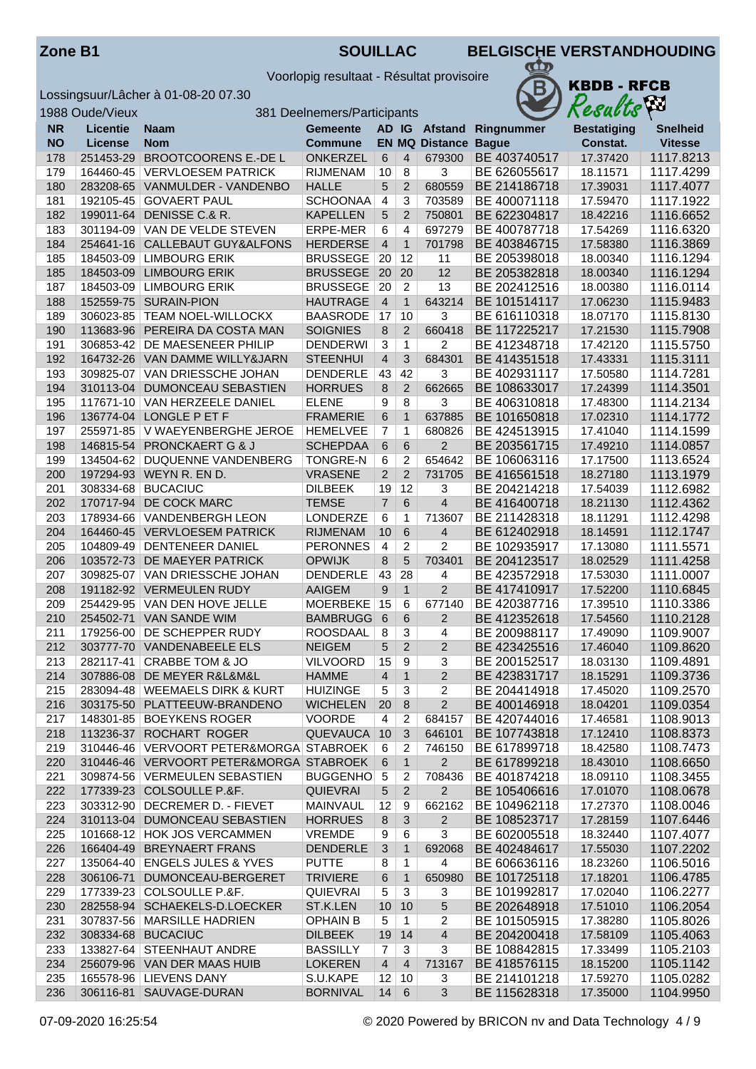Voorlopig resultaat - Résultat provisoire



|            | 1988 Oude/Vieux |                                                            | 381 Deelnemers/Participants      |                |                    |                             |                              | Results              | kл                     |
|------------|-----------------|------------------------------------------------------------|----------------------------------|----------------|--------------------|-----------------------------|------------------------------|----------------------|------------------------|
| <b>NR</b>  | <b>Licentie</b> | Naam                                                       | <b>Gemeente</b>                  |                |                    |                             | AD IG Afstand Ringnummer     | <b>Bestatiging</b>   | <b>Snelheid</b>        |
| <b>NO</b>  | License         | <b>Nom</b>                                                 | Commune                          |                |                    | <b>EN MQ Distance Bague</b> |                              | Constat.             | <b>Vitesse</b>         |
| 178        | 251453-29       | <b>BROOTCOORENS E.-DE L</b>                                | <b>ONKERZEL</b>                  | 6              | $\overline{4}$     | 679300                      | BE 403740517                 | 17.37420             | 1117.8213              |
| 179        |                 | 164460-45 VERVLOESEM PATRICK                               | <b>RIJMENAM</b>                  | 10             | $\overline{8}$     | 3                           | BE 626055617                 | 18.11571             | 1117.4299              |
| 180        |                 | 283208-65 VANMULDER - VANDENBO                             | <b>HALLE</b>                     | 5              | $\overline{2}$     | 680559                      | BE 214186718                 | 17.39031             | 1117.4077              |
| 181        |                 | 192105-45 GOVAERT PAUL                                     | <b>SCHOONAA</b>                  | $\overline{4}$ | 3                  | 703589                      | BE 400071118                 | 17.59470             | 1117.1922              |
| 182        | 199011-64       | DENISSE C.& R.                                             | <b>KAPELLEN</b>                  | 5              | 2                  | 750801                      | BE 622304817                 | 18.42216             | 1116.6652              |
| 183        |                 | 301194-09 VAN DE VELDE STEVEN                              | ERPE-MER                         | 6              | $\overline{4}$     | 697279                      | BE 400787718                 | 17.54269             | 1116.6320              |
| 184        |                 | 254641-16 CALLEBAUT GUY&ALFONS                             | <b>HERDERSE</b>                  | $\overline{4}$ | $\mathbf{1}$       | 701798                      | BE 403846715                 | 17.58380             | 1116.3869              |
| 185        |                 | 184503-09 LIMBOURG ERIK                                    | <b>BRUSSEGE</b>                  | 20             | 12                 | 11                          | BE 205398018                 | 18.00340             | 1116.1294              |
| 185        | 184503-09       | <b>LIMBOURG ERIK</b>                                       | <b>BRUSSEGE</b>                  | 20             | 20                 | 12                          | BE 205382818                 | 18.00340             | 1116.1294              |
| 187        |                 | 184503-09 LIMBOURG ERIK                                    | <b>BRUSSEGE</b>                  | 20             | $\overline{c}$     | 13                          | BE 202412516                 | 18.00380             | 1116.0114              |
| 188        | 152559-75       | <b>SURAIN-PION</b>                                         | <b>HAUTRAGE</b>                  | $\overline{4}$ | $\mathbf{1}$       | 643214                      | BE 101514117                 | 17.06230             | 1115.9483              |
| 189        |                 | 306023-85   TEAM NOEL-WILLOCKX                             | <b>BAASRODE</b>                  | 17             | 10                 | 3                           | BE 616110318                 | 18.07170             | 1115.8130              |
| 190        | 113683-96       | PEREIRA DA COSTA MAN                                       | <b>SOIGNIES</b>                  | 8              | 2                  | 660418                      | BE 117225217                 | 17.21530             | 1115.7908              |
| 191        |                 | 306853-42   DE MAESENEER PHILIP                            | <b>DENDERWI</b>                  | 3              | $\mathbf{1}$       | 2                           | BE 412348718                 | 17.42120             | 1115.5750              |
| 192        |                 | 164732-26 VAN DAMME WILLY&JARN                             | <b>STEENHUI</b>                  | $\overline{4}$ | 3                  | 684301                      | BE 414351518                 | 17.43331             | 1115.3111              |
| 193        | 309825-07       | VAN DRIESSCHE JOHAN                                        | <b>DENDERLE</b>                  | 43             | 42                 | 3                           | BE 402931117                 | 17.50580             | 1114.7281              |
| 194        | 310113-04       | <b>DUMONCEAU SEBASTIEN</b>                                 | <b>HORRUES</b>                   | 8              | $\overline{2}$     | 662665                      | BE 108633017                 | 17.24399             | 1114.3501              |
| 195        |                 | 117671-10 VAN HERZEELE DANIEL                              | <b>ELENE</b>                     | 9              | 8                  | 3                           | BE 406310818                 | 17.48300             | 1114.2134              |
| 196        |                 | 136774-04 LONGLE P ET F                                    | <b>FRAMERIE</b>                  | 6              | $\mathbf{1}$       | 637885                      | BE 101650818                 | 17.02310             | 1114.1772              |
| 197        |                 | 255971-85   V WAEYENBERGHE JEROE                           | <b>HEMELVEE</b>                  | $\overline{7}$ | $\mathbf{1}$       | 680826                      | BE 424513915                 | 17.41040             | 1114.1599              |
| 198        |                 | 146815-54 PRONCKAERT G & J                                 | <b>SCHEPDAA</b>                  | 6              | $6\phantom{1}6$    | $\overline{2}$              | BE 203561715                 | 17.49210             | 1114.0857              |
| 199        |                 | 134504-62 DUQUENNE VANDENBERG                              | <b>TONGRE-N</b>                  | 6              | $\overline{c}$     | 654642                      | BE 106063116                 | 17.17500             | 1113.6524              |
| 200        |                 | 197294-93 WEYN R. EN D.                                    | <b>VRASENE</b>                   | $\overline{2}$ | $\overline{2}$     | 731705                      | BE 416561518                 | 18.27180             | 1113.1979              |
| 201        |                 | 308334-68   BUCACIUC                                       | <b>DILBEEK</b>                   | 19             | 12                 | 3                           | BE 204214218                 | 17.54039             | 1112.6982              |
| 202        | 170717-94       | DE COCK MARC                                               | <b>TEMSE</b>                     | $\overline{7}$ | 6                  | $\overline{\mathbf{4}}$     | BE 416400718                 | 18.21130             | 1112.4362              |
| 203        |                 | 178934-66 VANDENBERGH LEON                                 | LONDERZE                         | 6              | 1                  | 713607                      | BE 211428318                 | 18.11291             | 1112.4298              |
| 204        | 164460-45       | <b>VERVLOESEM PATRICK</b>                                  | <b>RIJMENAM</b>                  | 10             | 6                  | 4                           | BE 612402918                 | 18.14591             | 1112.1747              |
| 205        |                 | 104809-49 DENTENEER DANIEL                                 | <b>PERONNES</b>                  | 4              | $\overline{c}$     | 2                           | BE 102935917                 | 17.13080             | 1111.5571              |
| 206        | 103572-73       | DE MAEYER PATRICK                                          | <b>OPWIJK</b>                    | 8              | 5                  | 703401                      | BE 204123517                 | 18.02529             | 1111.4258              |
| 207        |                 | 309825-07 VAN DRIESSCHE JOHAN                              | <b>DENDERLE</b>                  | 43             | 28<br>$\mathbf{1}$ | 4<br>$\overline{2}$         | BE 423572918                 | 17.53030             | 1111.0007              |
| 208<br>209 |                 | 191182-92 VERMEULEN RUDY<br>254429-95   VAN DEN HOVE JELLE | <b>AAIGEM</b><br><b>MOERBEKE</b> | 9<br>15        | 6                  | 677140                      | BE 417410917<br>BE 420387716 | 17.52200<br>17.39510 | 1110.6845<br>1110.3386 |
| 210        | 254502-71       | <b>VAN SANDE WIM</b>                                       | <b>BAMBRUGG</b>                  | 6              | 6                  | $\overline{c}$              | BE 412352618                 | 17.54560             | 1110.2128              |
| 211        |                 | 179256-00 DE SCHEPPER RUDY                                 | <b>ROOSDAAL</b>                  | 8              | 3                  | 4                           | BE 200988117                 | 17.49090             | 1109.9007              |
| 212        |                 | 303777-70 VANDENABEELE ELS                                 | <b>NEIGEM</b>                    | 5              | 2                  | $\overline{2}$              | BE 423425516                 | 17.46040             | 1109.8620              |
| 213        |                 | 282117-41 CRABBE TOM & JO                                  | <b>VILVOORD</b>                  | 15             | 9                  | 3                           | BE 200152517                 | 18.03130             | 1109.4891              |
| 214        |                 | 307886-08 DE MEYER R&L&M&L                                 | <b>HAMME</b>                     | 4              | $\mathbf{1}$       | 2                           | BE 423831717                 | 18.15291             | 1109.3736              |
| 215        |                 | 283094-48   WEEMAELS DIRK & KURT                           | <b>HUIZINGE</b>                  | 5              | 3                  | 2                           | BE 204414918                 | 17.45020             | 1109.2570              |
| 216        |                 | 303175-50 PLATTEEUW-BRANDENO                               | <b>WICHELEN</b>                  | 20             | 8                  | $\overline{2}$              | BE 400146918                 | 18.04201             | 1109.0354              |
| 217        |                 | 148301-85 BOEYKENS ROGER                                   | <b>VOORDE</b>                    | $\overline{4}$ | 2                  | 684157                      | BE 420744016                 | 17.46581             | 1108.9013              |
| 218        |                 | 113236-37 ROCHART ROGER                                    | <b>QUEVAUCA</b>                  | 10             | 3                  | 646101                      | BE 107743818                 | 17.12410             | 1108.8373              |
| 219        |                 | 310446-46 VERVOORT PETER&MORGA STABROEK                    |                                  | 6              | 2                  | 746150                      | BE 617899718                 | 18.42580             | 1108.7473              |
| 220        |                 | 310446-46 VERVOORT PETER&MORGA STABROEK                    |                                  | 6              | $\mathbf{1}$       | $2^{\circ}$                 | BE 617899218                 | 18.43010             | 1108.6650              |
| 221        |                 | 309874-56   VERMEULEN SEBASTIEN                            | <b>BUGGENHO</b>                  | 5              | $\overline{2}$     | 708436                      | BE 401874218                 | 18.09110             | 1108.3455              |
| 222        |                 | 177339-23 COLSOULLE P.&F.                                  | <b>QUIEVRAI</b>                  | 5              | $\overline{2}$     | $\overline{2}$              | BE 105406616                 | 17.01070             | 1108.0678              |
| 223        |                 | 303312-90   DECREMER D. - FIEVET                           | MAINVAUL                         | 12             | 9                  | 662162                      | BE 104962118                 | 17.27370             | 1108.0046              |
| 224        |                 | 310113-04 DUMONCEAU SEBASTIEN                              | <b>HORRUES</b>                   | 8              | $\sqrt{3}$         | $\overline{2}$              | BE 108523717                 | 17.28159             | 1107.6446              |
| 225        |                 | 101668-12 HOK JOS VERCAMMEN                                | <b>VREMDE</b>                    | 9              | 6                  | 3                           | BE 602005518                 | 18.32440             | 1107.4077              |
| 226        |                 | 166404-49 BREYNAERT FRANS                                  | <b>DENDERLE</b>                  | 3              | $\mathbf{1}$       | 692068                      | BE 402484617                 | 17.55030             | 1107.2202              |
| 227        |                 | 135064-40   ENGELS JULES & YVES                            | <b>PUTTE</b>                     | 8              | $\mathbf{1}$       | 4                           | BE 606636116                 | 18.23260             | 1106.5016              |
| 228        | 306106-71       | DUMONCEAU-BERGERET                                         | <b>TRIVIERE</b>                  | 6              | $\mathbf{1}$       | 650980                      | BE 101725118                 | 17.18201             | 1106.4785              |
| 229        |                 | 177339-23 COLSOULLE P.&F.                                  | <b>QUIEVRAI</b>                  | 5              | 3                  | 3                           | BE 101992817                 | 17.02040             | 1106.2277              |
| 230        |                 | 282558-94 SCHAEKELS-D.LOECKER                              | ST.K.LEN                         | 10             | 10                 | 5                           | BE 202648918                 | 17.51010             | 1106.2054              |
| 231        |                 | 307837-56   MARSILLE HADRIEN                               | <b>OPHAIN B</b>                  | 5              | $\mathbf{1}$       | 2                           | BE 101505915                 | 17.38280             | 1105.8026              |
| 232        |                 | 308334-68 BUCACIUC                                         | <b>DILBEEK</b>                   | 19             | 14                 | 4                           | BE 204200418                 | 17.58109             | 1105.4063              |
| 233        |                 | 133827-64 STEENHAUT ANDRE                                  | <b>BASSILLY</b>                  | 7              | $\overline{3}$     | 3                           | BE 108842815                 | 17.33499             | 1105.2103              |
| 234        |                 | 256079-96 VAN DER MAAS HUIB                                | <b>LOKEREN</b>                   | $\overline{4}$ | $\overline{4}$     | 713167                      | BE 418576115                 | 18.15200             | 1105.1142              |
| 235        |                 | 165578-96 LIEVENS DANY                                     | S.U.KAPE                         | 12             | 10                 | 3                           | BE 214101218                 | 17.59270             | 1105.0282              |
| 236        |                 | 306116-81 SAUVAGE-DURAN                                    | <b>BORNIVAL</b>                  | 14             | 6                  | 3                           | BE 115628318                 | 17.35000             | 1104.9950              |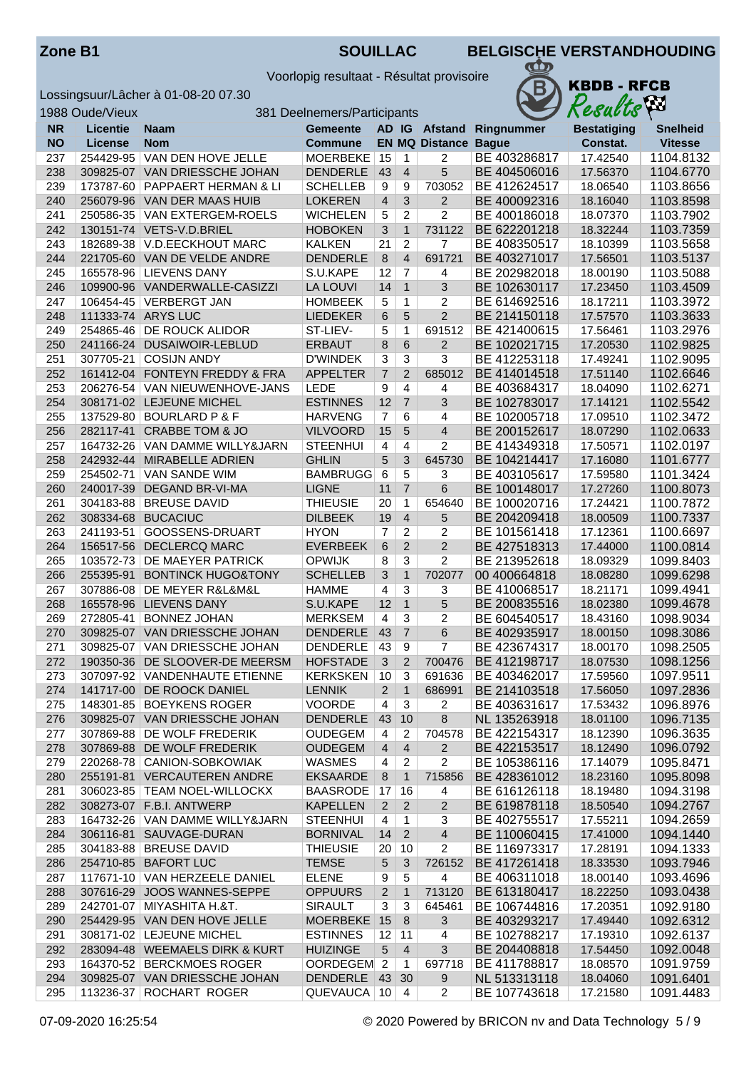Voorlopig resultaat - Résultat provisoire



|            | 1988 Oude/Vieux        |                                                            | 381 Deelnemers/Participants        |                               |                                |                             |                               | Results              | Áл                     |
|------------|------------------------|------------------------------------------------------------|------------------------------------|-------------------------------|--------------------------------|-----------------------------|-------------------------------|----------------------|------------------------|
| <b>NR</b>  | <b>Licentie</b>        | Naam                                                       | <b>Gemeente</b>                    |                               |                                |                             | AD IG Afstand Ringnummer      | <b>Bestatiging</b>   | <b>Snelheid</b>        |
| <b>NO</b>  | <b>License</b>         | <b>Nom</b>                                                 | <b>Commune</b>                     |                               |                                | <b>EN MQ Distance Bague</b> |                               | Constat.             | <b>Vitesse</b>         |
| 237        | 254429-95              | VAN DEN HOVE JELLE                                         | <b>MOERBEKE</b>                    | 15                            | 1                              | 2                           | BE 403286817                  | 17.42540             | 1104.8132              |
| 238        |                        | 309825-07 VAN DRIESSCHE JOHAN                              | <b>DENDERLE</b>                    | 43                            | $\overline{4}$                 | 5                           | BE 404506016                  | 17.56370             | 1104.6770              |
| 239        |                        | 173787-60 PAPPAERT HERMAN & LI                             | <b>SCHELLEB</b>                    | 9                             | 9                              | 703052                      | BE 412624517                  | 18.06540             | 1103.8656              |
| 240        |                        | 256079-96 VAN DER MAAS HUIB                                | <b>LOKEREN</b>                     | $\overline{4}$                | 3                              | $\overline{2}$              | BE 400092316                  | 18.16040             | 1103.8598              |
| 241        |                        | 250586-35   VAN EXTERGEM-ROELS                             | <b>WICHELEN</b>                    | 5                             | $\overline{2}$                 | $\overline{2}$              | BE 400186018                  | 18.07370             | 1103.7902              |
| 242        |                        | 130151-74 VETS-V.D.BRIEL                                   | <b>HOBOKEN</b>                     | 3                             | $\overline{1}$                 | 731122                      | BE 622201218                  | 18.32244             | 1103.7359              |
| 243        |                        | 182689-38 V.D.EECKHOUT MARC                                | <b>KALKEN</b>                      | 21                            | $\overline{2}$                 | $\overline{7}$              | BE 408350517                  | 18.10399             | 1103.5658              |
| 244        |                        | 221705-60 VAN DE VELDE ANDRE                               | <b>DENDERLE</b>                    | 8                             | $\overline{4}$                 | 691721                      | BE 403271017                  | 17.56501             | 1103.5137              |
| 245<br>246 |                        | 165578-96   LIEVENS DANY<br>109900-96 VANDERWALLE-CASIZZI  | S.U.KAPE<br><b>LA LOUVI</b>        | 12<br>14                      | $\overline{7}$<br>$\mathbf{1}$ | 4<br>3                      | BE 202982018<br>BE 102630117  | 18.00190<br>17.23450 | 1103.5088<br>1103.4509 |
| 247        |                        | 106454-45 VERBERGT JAN                                     | <b>HOMBEEK</b>                     | 5                             | $\mathbf{1}$                   | 2                           | BE 614692516                  | 18.17211             | 1103.3972              |
| 248        |                        | 111333-74 ARYS LUC                                         | <b>LIEDEKER</b>                    | 6                             | $\overline{5}$                 | $\overline{2}$              | BE 214150118                  | 17.57570             | 1103.3633              |
| 249        |                        | 254865-46 DE ROUCK ALIDOR                                  | ST-LIEV-                           | 5                             | 1                              | 691512                      | BE 421400615                  | 17.56461             | 1103.2976              |
| 250        | 241166-24              | DUSAIWOIR-LEBLUD                                           | <b>ERBAUT</b>                      | 8                             | $\,6\,$                        | $\overline{2}$              | BE 102021715                  | 17.20530             | 1102.9825              |
| 251        | 307705-21              | <b>COSIJN ANDY</b>                                         | <b>D'WINDEK</b>                    | 3                             | $\overline{3}$                 | $\overline{3}$              | BE 412253118                  | 17.49241             | 1102.9095              |
| 252        |                        | 161412-04 FONTEYN FREDDY & FRA                             | <b>APPELTER</b>                    | $\overline{7}$                | $\overline{2}$                 | 685012                      | BE 414014518                  | 17.51140             | 1102.6646              |
| 253        |                        | 206276-54 VAN NIEUWENHOVE-JANS                             | <b>LEDE</b>                        | 9                             | 4                              | 4                           | BE 403684317                  | 18.04090             | 1102.6271              |
| 254        |                        | 308171-02 LEJEUNE MICHEL                                   | <b>ESTINNES</b>                    | 12                            | $\overline{7}$                 | 3                           | BE 102783017                  | 17.14121             | 1102.5542              |
| 255        |                        | 137529-80 BOURLARD P & F                                   | <b>HARVENG</b>                     | $\overline{7}$                | 6                              | 4                           | BE 102005718                  | 17.09510             | 1102.3472              |
| 256        |                        | 282117-41 CRABBE TOM & JO                                  | <b>VILVOORD</b>                    | 15                            | $5\phantom{1}$                 | $\overline{4}$              | BE 200152617                  | 18.07290             | 1102.0633              |
| 257        |                        | 164732-26 VAN DAMME WILLY&JARN                             | <b>STEENHUI</b>                    | $\overline{\mathbf{4}}$       | 4                              | $\overline{2}$              | BE 414349318                  | 17.50571             | 1102.0197              |
| 258        | 242932-44              | MIRABELLE ADRIEN                                           | <b>GHLIN</b>                       | 5                             | 3                              | 645730                      | BE 104214417                  | 17.16080             | 1101.6777              |
| 259        | 254502-71              | <b>VAN SANDE WIM</b>                                       | <b>BAMBRUGG</b>                    | 6                             | $\overline{5}$                 | 3                           | BE 403105617                  | 17.59580             | 1101.3424              |
| 260        | 240017-39              | <b>DEGAND BR-VI-MA</b>                                     | <b>LIGNE</b>                       | 11                            | $\overline{7}$                 | 6                           | BE 100148017                  | 17.27260             | 1100.8073              |
| 261        |                        | 304183-88   BREUSE DAVID                                   | <b>THIEUSIE</b>                    | 20                            | $\mathbf{1}$                   | 654640                      | BE 100020716                  | 17.24421             | 1100.7872              |
| 262        | 308334-68              | <b>BUCACIUC</b>                                            | <b>DILBEEK</b>                     | 19                            | $\overline{4}$                 | 5                           | BE 204209418                  | 18.00509             | 1100.7337              |
| 263        | 241193-51              | GOOSSENS-DRUART                                            | <b>HYON</b>                        | 7                             | 2                              | 2                           | BE 101561418                  | 17.12361             | 1100.6697              |
| 264        | 156517-56              | <b>DECLERCQ MARC</b>                                       | <b>EVERBEEK</b>                    | 6                             | 2                              | $\overline{2}$              | BE 427518313                  | 17.44000             | 1100.0814              |
| 265<br>266 | 103572-73<br>255395-91 | <b>DE MAEYER PATRICK</b><br><b>BONTINCK HUGO&amp;TONY</b>  | <b>OPWIJK</b><br><b>SCHELLEB</b>   | 8<br>3                        | 3<br>$\mathbf{1}$              | $\overline{2}$<br>702077    | BE 213952618<br>00 400 664818 | 18.09329<br>18.08280 | 1099.8403<br>1099.6298 |
| 267        |                        | 307886-08   DE MEYER R&L&M&L                               | <b>HAMME</b>                       | 4                             | 3                              | 3                           | BE 410068517                  | 18.21171             | 1099.4941              |
| 268        | 165578-96              | <b>LIEVENS DANY</b>                                        | S.U.KAPE                           | 12                            | $\mathbf{1}$                   | 5                           | BE 200835516                  | 18.02380             | 1099.4678              |
| 269        | 272805-41              | <b>BONNEZ JOHAN</b>                                        | <b>MERKSEM</b>                     | 4                             | 3                              | $\overline{2}$              | BE 604540517                  | 18.43160             | 1098.9034              |
| 270        |                        | 309825-07 VAN DRIESSCHE JOHAN                              | <b>DENDERLE</b>                    | 43                            | $\overline{7}$                 | 6                           | BE 402935917                  | 18.00150             | 1098.3086              |
| 271        |                        | 309825-07 VAN DRIESSCHE JOHAN                              | <b>DENDERLE</b>                    | 43                            | 9                              | $\overline{7}$              | BE 423674317                  | 18.00170             | 1098.2505              |
| 272        |                        | 190350-36 DE SLOOVER-DE MEERSM                             | <b>HOFSTADE</b>                    | 3                             | 2                              | 700476                      | BE 412198717                  | 18.07530             | 1098.1256              |
| 273        |                        | 307097-92   VANDENHAUTE ETIENNE                            | KERKSKEN                           | 10                            | 3                              | 691636                      | BE 403462017                  | 17.59560             | 1097.9511              |
| 274        |                        | 141717-00 DE ROOCK DANIEL                                  | <b>LENNIK</b>                      | $\overline{2}$                | $\mathbf{1}$                   | 686991                      | BE 214103518                  | 17.56050             | 1097.2836              |
| 275        |                        | 148301-85   BOEYKENS ROGER                                 | <b>VOORDE</b>                      | 4                             | 3                              | 2                           | BE 403631617                  | 17.53432             | 1096.8976              |
| 276        |                        | 309825-07 VAN DRIESSCHE JOHAN                              | <b>DENDERLE</b>                    | 43                            | 10                             | 8                           | NL 135263918                  | 18.01100             | 1096.7135              |
| 277        |                        | 307869-88   DE WOLF FREDERIK                               | <b>OUDEGEM</b>                     | 4                             | 2                              | 704578                      | BE 422154317                  | 18.12390             | 1096.3635              |
| 278        |                        | 307869-88 DE WOLF FREDERIK                                 | <b>OUDEGEM</b>                     | $\overline{4}$                | $\overline{4}$                 | $\overline{2}$              | BE 422153517                  | 18.12490             | 1096.0792              |
| 279        |                        | 220268-78 CANION-SOBKOWIAK                                 | <b>WASMES</b>                      | 4                             | 2                              | 2                           | BE 105386116                  | 17.14079             | 1095.8471              |
| 280        |                        | 255191-81 VERCAUTEREN ANDRE                                | <b>EKSAARDE</b>                    | 8                             | $\mathbf{1}$                   | 715856                      | BE 428361012                  | 18.23160             | 1095.8098              |
| 281        |                        | 306023-85   TEAM NOEL-WILLOCKX                             | <b>BAASRODE</b>                    | 17                            | 16                             | 4                           | BE 616126118                  | 18.19480             | 1094.3198              |
| 282        |                        | 308273-07 F.B.I. ANTWERP<br>164732-26 VAN DAMME WILLY&JARN | <b>KAPELLEN</b>                    | $\overline{2}$                | $\overline{2}$                 | 2                           | BE 619878118<br>BE 402755517  | 18.50540             | 1094.2767              |
| 283<br>284 |                        | 306116-81 SAUVAGE-DURAN                                    | <b>STEENHUI</b><br><b>BORNIVAL</b> | $\overline{\mathbf{4}}$<br>14 | $\mathbf{1}$<br>$\overline{2}$ | 3<br>$\overline{4}$         | BE 110060415                  | 17.55211<br>17.41000 | 1094.2659<br>1094.1440 |
| 285        |                        | 304183-88 BREUSE DAVID                                     | <b>THIEUSIE</b>                    | 20                            | 10                             | 2                           | BE 116973317                  | 17.28191             | 1094.1333              |
| 286        |                        | 254710-85 BAFORT LUC                                       | <b>TEMSE</b>                       | 5                             | 3                              | 726152                      | BE 417261418                  | 18.33530             | 1093.7946              |
| 287        |                        | 117671-10 VAN HERZEELE DANIEL                              | <b>ELENE</b>                       | 9                             | 5                              | 4                           | BE 406311018                  | 18.00140             | 1093.4696              |
| 288        |                        | 307616-29 JOOS WANNES-SEPPE                                | <b>OPPUURS</b>                     | $\overline{2}$                | $\mathbf{1}$                   | 713120                      | BE 613180417                  | 18.22250             | 1093.0438              |
| 289        |                        | 242701-07 MIYASHITA H.&T.                                  | <b>SIRAULT</b>                     | 3                             | 3                              | 645461                      | BE 106744816                  | 17.20351             | 1092.9180              |
| 290        |                        | 254429-95 VAN DEN HOVE JELLE                               | MOERBEKE                           | 15                            | 8                              | 3                           | BE 403293217                  | 17.49440             | 1092.6312              |
| 291        |                        | 308171-02   LEJEUNE MICHEL                                 | <b>ESTINNES</b>                    | 12                            | 11                             | 4                           | BE 102788217                  | 17.19310             | 1092.6137              |
| 292        |                        | 283094-48 WEEMAELS DIRK & KURT                             | <b>HUIZINGE</b>                    | 5                             | $\overline{4}$                 | 3                           | BE 204408818                  | 17.54450             | 1092.0048              |
| 293        |                        | 164370-52 BERCKMOES ROGER                                  | OORDEGEM 2                         |                               | $\mathbf 1$                    | 697718                      | BE 411788817                  | 18.08570             | 1091.9759              |
| 294        |                        | 309825-07 VAN DRIESSCHE JOHAN                              | DENDERLE 43                        |                               | 30                             | 9                           | NL 513313118                  | 18.04060             | 1091.6401              |
| 295        |                        | 113236-37 ROCHART ROGER                                    | QUEVAUCA 10                        |                               | $\overline{4}$                 | 2                           | BE 107743618                  | 17.21580             | 1091.4483              |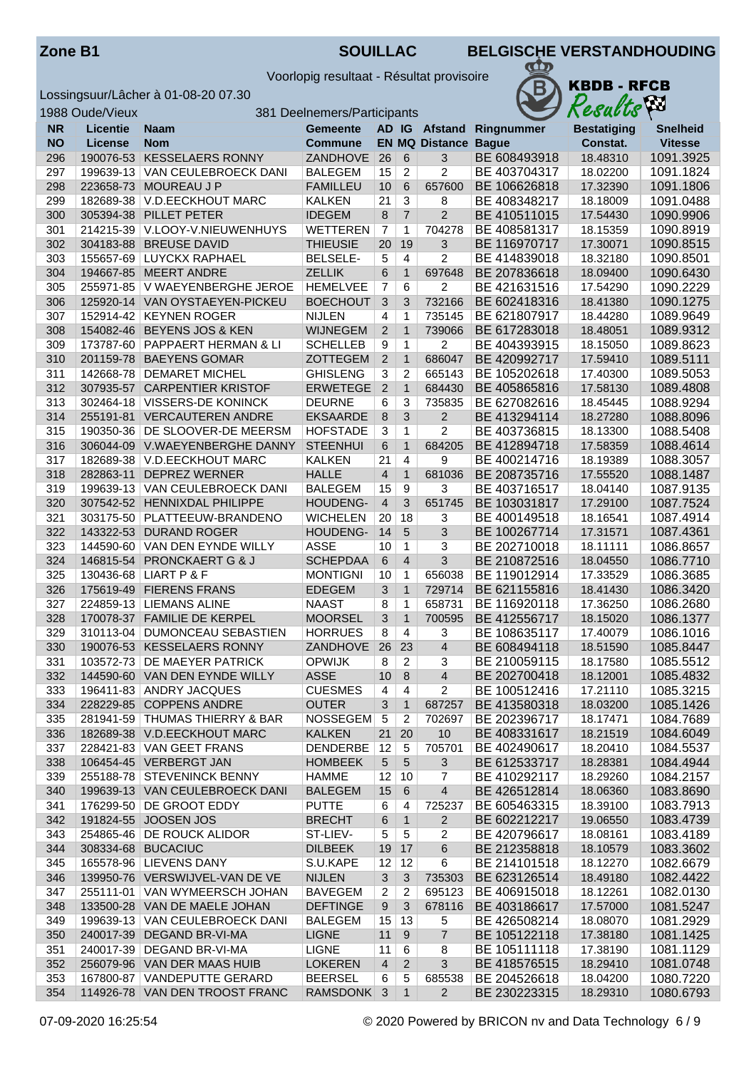Voorlopig resultaat - Résultat provisoire

1988 Oude/Vieux 381 Deelnemers/Participants

Lossingsuur/Lâcher à 01-08-20 07.30<br>1988 Oude/Vieux



|           | <b>1900 OUGE</b> VIEUX |                                  | <u>JOI Deelitemeis/Falucipanis</u> |                |                |                             |                          | $1100$ uvvo        |                 |
|-----------|------------------------|----------------------------------|------------------------------------|----------------|----------------|-----------------------------|--------------------------|--------------------|-----------------|
| <b>NR</b> | <b>Licentie</b>        | Naam                             | <b>Gemeente</b>                    |                |                |                             | AD IG Afstand Ringnummer | <b>Bestatiging</b> | <b>Snelheid</b> |
| <b>NO</b> | <b>License</b>         | <b>Nom</b>                       | <b>Commune</b>                     |                |                | <b>EN MQ Distance Bague</b> |                          | Constat.           | <b>Vitesse</b>  |
| 296       |                        | 190076-53 KESSELAERS RONNY       | ZANDHOVE                           | 26             | 6              | 3                           | BE 608493918             | 18.48310           | 1091.3925       |
| 297       | 199639-13              | <b>VAN CEULEBROECK DANI</b>      | <b>BALEGEM</b>                     | 15             | $\overline{2}$ | $\overline{2}$              | BE 403704317             | 18.02200           | 1091.1824       |
| 298       | 223658-73              | MOUREAU J P                      | <b>FAMILLEU</b>                    | 10             | 6              | 657600                      | BE 106626818             | 17.32390           | 1091.1806       |
| 299       | 182689-38              | V.D.EECKHOUT MARC                | <b>KALKEN</b>                      | 21             | $\overline{3}$ | 8                           | BE 408348217             | 18.18009           | 1091.0488       |
| 300       | 305394-38              | PILLET PETER                     | <b>IDEGEM</b>                      | 8              | $\overline{7}$ | $\overline{2}$              | BE 410511015             | 17.54430           | 1090.9906       |
| 301       |                        | 214215-39 V.LOOY-V.NIEUWENHUYS   | <b>WETTEREN</b>                    | $\overline{7}$ | 1              | 704278                      | BE 408581317             | 18.15359           | 1090.8919       |
| 302       | 304183-88              | <b>BREUSE DAVID</b>              | <b>THIEUSIE</b>                    | 20             | 19             | 3                           | BE 116970717             | 17.30071           | 1090.8515       |
| 303       |                        | 155657-69 LUYCKX RAPHAEL         | <b>BELSELE-</b>                    | 5              | 4              | 2                           | BE 414839018             | 18.32180           | 1090.8501       |
| 304       |                        | 194667-85 MEERT ANDRE            | <b>ZELLIK</b>                      | 6              | $\mathbf{1}$   | 697648                      | BE 207836618             | 18.09400           | 1090.6430       |
| 305       |                        | 255971-85   V WAEYENBERGHE JEROE | <b>HEMELVEE</b>                    | $\overline{7}$ | 6              | $\overline{2}$              | BE 421631516             | 17.54290           | 1090.2229       |
| 306       |                        | 125920-14 VAN OYSTAEYEN-PICKEU   | <b>BOECHOUT</b>                    | 3              | 3              | 732166                      | BE 602418316             | 18.41380           | 1090.1275       |
|           |                        |                                  |                                    |                |                |                             |                          |                    |                 |
| 307       |                        | 152914-42 KEYNEN ROGER           | <b>NIJLEN</b>                      | 4              | 1              | 735145                      | BE 621807917             | 18.44280           | 1089.9649       |
| 308       | 154082-46              | <b>BEYENS JOS &amp; KEN</b>      | <b>WIJNEGEM</b>                    | 2              | $\mathbf{1}$   | 739066                      | BE 617283018             | 18.48051           | 1089.9312       |
| 309       |                        | 173787-60 PAPPAERT HERMAN & LI   | <b>SCHELLEB</b>                    | 9              | 1              | 2                           | BE 404393915             | 18.15050           | 1089.8623       |
| 310       | 201159-78              | <b>BAEYENS GOMAR</b>             | <b>ZOTTEGEM</b>                    | 2              | $\mathbf{1}$   | 686047                      | BE 420992717             | 17.59410           | 1089.5111       |
| 311       | 142668-78              | <b>DEMARET MICHEL</b>            | <b>GHISLENG</b>                    | 3              | 2              | 665143                      | BE 105202618             | 17.40300           | 1089.5053       |
| 312       |                        | 307935-57 CARPENTIER KRISTOF     | <b>ERWETEGE</b>                    | $\overline{2}$ | $\mathbf{1}$   | 684430                      | BE 405865816             | 17.58130           | 1089.4808       |
| 313       |                        | 302464-18 VISSERS-DE KONINCK     | <b>DEURNE</b>                      | 6              | 3              | 735835                      | BE 627082616             | 18.45445           | 1088.9294       |
| 314       |                        | 255191-81 VERCAUTEREN ANDRE      | <b>EKSAARDE</b>                    | 8              | 3              | $\overline{2}$              | BE 413294114             | 18.27280           | 1088.8096       |
| 315       |                        | 190350-36   DE SLOOVER-DE MEERSM | <b>HOFSTADE</b>                    | 3              | 1              | $\overline{2}$              | BE 403736815             | 18.13300           | 1088.5408       |
| 316       |                        | 306044-09 V.WAEYENBERGHE DANNY   | <b>STEENHUI</b>                    | 6              | $\mathbf{1}$   | 684205                      | BE 412894718             | 17.58359           | 1088.4614       |
| 317       | 182689-38              | V.D.EECKHOUT MARC                | <b>KALKEN</b>                      | 21             | $\overline{4}$ | 9                           | BE 400214716             | 18.19389           | 1088.3057       |
| 318       | 282863-11              | <b>DEPREZ WERNER</b>             | <b>HALLE</b>                       | $\overline{4}$ | $\mathbf{1}$   | 681036                      | BE 208735716             | 17.55520           | 1088.1487       |
| 319       |                        | 199639-13 VAN CEULEBROECK DANI   | <b>BALEGEM</b>                     | 15             | 9              | 3                           | BE 403716517             | 18.04140           | 1087.9135       |
| 320       |                        | 307542-52 HENNIXDAL PHILIPPE     | HOUDENG-                           | $\overline{4}$ | 3              | 651745                      | BE 103031817             | 17.29100           | 1087.7524       |
| 321       |                        | 303175-50 PLATTEEUW-BRANDENO     | <b>WICHELEN</b>                    | 20             | 18             | 3                           | BE 400149518             | 18.16541           | 1087.4914       |
| 322       |                        |                                  |                                    | 14             | 5              | 3                           |                          |                    |                 |
|           |                        | 143322-53 DURAND ROGER           | HOUDENG-                           |                |                |                             | BE 100267714             | 17.31571           | 1087.4361       |
| 323       |                        | 144590-60 VAN DEN EYNDE WILLY    | <b>ASSE</b>                        | 10             | 1              | 3                           | BE 202710018             | 18.11111           | 1086.8657       |
| 324       | 146815-54              | <b>PRONCKAERT G &amp; J</b>      | <b>SCHEPDAA</b>                    | 6              | $\overline{4}$ | 3                           | BE 210872516             | 18.04550           | 1086.7710       |
| 325       |                        | 130436-68 LIART P & F            | <b>MONTIGNI</b>                    | 10             | 1              | 656038                      | BE 119012914             | 17.33529           | 1086.3685       |
| 326       | 175619-49              | <b>FIERENS FRANS</b>             | <b>EDEGEM</b>                      | 3              | $\mathbf{1}$   | 729714                      | BE 621155816             | 18.41430           | 1086.3420       |
| 327       | 224859-13              | <b>LIEMANS ALINE</b>             | <b>NAAST</b>                       | 8              | 1              | 658731                      | BE 116920118             | 17.36250           | 1086.2680       |
| 328       |                        | 170078-37 FAMILIE DE KERPEL      | <b>MOORSEL</b>                     | 3              | $\mathbf{1}$   | 700595                      | BE 412556717             | 18.15020           | 1086.1377       |
| 329       | 310113-04              | DUMONCEAU SEBASTIEN              | <b>HORRUES</b>                     | 8              | 4              | 3                           | BE 108635117             | 17.40079           | 1086.1016       |
| 330       |                        | 190076-53 KESSELAERS RONNY       | <b>ZANDHOVE</b>                    | 26             | 23             | 4                           | BE 608494118             | 18.51590           | 1085.8447       |
| 331       | 103572-73              | <b>DE MAEYER PATRICK</b>         | <b>OPWIJK</b>                      | 8              | $\overline{2}$ | 3                           | BE 210059115             | 18.17580           | 1085.5512       |
| 332       |                        | 144590-60 VAN DEN EYNDE WILLY    | <b>ASSE</b>                        | 10             | 8              | $\overline{\mathcal{L}}$    | BE 202700418             | 18.12001           | 1085.4832       |
| 333       |                        | 196411-83 ANDRY JACQUES          | <b>CUESMES</b>                     | 4              | 4              | $\overline{2}$              | BE 100512416             | 17.21110           | 1085.3215       |
| 334       |                        | 228229-85 COPPENS ANDRE          | <b>OUTER</b>                       | 3              | $\mathbf{1}$   | 687257                      | BE 413580318             | 18.03200           | 1085.1426       |
| 335       |                        | 281941-59 THUMAS THIERRY & BAR   | <b>NOSSEGEM</b>                    | $\sqrt{5}$     | 2              | 702697                      | BE 202396717             | 18.17471           | 1084.7689       |
| 336       |                        | 182689-38 V.D.EECKHOUT MARC      | <b>KALKEN</b>                      | 21             | 20             | 10                          | BE 408331617             | 18.21519           | 1084.6049       |
| 337       |                        | 228421-83 VAN GEET FRANS         | DENDERBE                           | 12             | 5              | 705701                      | BE 402490617             | 18.20410           | 1084.5537       |
| 338       |                        | 106454-45 VERBERGT JAN           | <b>HOMBEEK</b>                     | 5              | 5              | 3                           | BE 612533717             | 18.28381           | 1084.4944       |
| 339       |                        | 255188-78 STEVENINCK BENNY       | <b>HAMME</b>                       | 12             | 10             | 7                           | BE 410292117             | 18.29260           | 1084.2157       |
|           |                        | 199639-13 VAN CEULEBROECK DANI   | <b>BALEGEM</b>                     | 15             | $\,6\,$        | $\overline{4}$              | BE 426512814             | 18.06360           |                 |
| 340       |                        |                                  |                                    |                |                |                             |                          |                    | 1083.8690       |
| 341       |                        | 176299-50 DE GROOT EDDY          | <b>PUTTE</b>                       | 6              | 4              | 725237                      | BE 605463315             | 18.39100           | 1083.7913       |
| 342       |                        | 191824-55 JOOSEN JOS             | <b>BRECHT</b>                      | 6              | $\mathbf{1}$   | $\overline{2}$              | BE 602212217             | 19.06550           | 1083.4739       |
| 343       |                        | 254865-46   DE ROUCK ALIDOR      | ST-LIEV-                           | 5              | 5              | 2                           | BE 420796617             | 18.08161           | 1083.4189       |
| 344       |                        | 308334-68 BUCACIUC               | <b>DILBEEK</b>                     | 19             | 17             | 6                           | BE 212358818             | 18.10579           | 1083.3602       |
| 345       |                        | 165578-96 LIEVENS DANY           | S.U.KAPE                           | 12             | 12             | 6                           | BE 214101518             | 18.12270           | 1082.6679       |
| 346       |                        | 139950-76 VERSWIJVEL-VAN DE VE   | <b>NIJLEN</b>                      | 3              | 3              | 735303                      | BE 623126514             | 18.49180           | 1082.4422       |
| 347       |                        | 255111-01 VAN WYMEERSCH JOHAN    | <b>BAVEGEM</b>                     | 2              | 2              | 695123                      | BE 406915018             | 18.12261           | 1082.0130       |
| 348       |                        | 133500-28 VAN DE MAELE JOHAN     | <b>DEFTINGE</b>                    | 9              | 3              | 678116                      | BE 403186617             | 17.57000           | 1081.5247       |
| 349       |                        | 199639-13 VAN CEULEBROECK DANI   | <b>BALEGEM</b>                     | 15             | 13             | 5                           | BE 426508214             | 18.08070           | 1081.2929       |
| 350       |                        | 240017-39 DEGAND BR-VI-MA        | <b>LIGNE</b>                       | 11             | 9              | $\overline{7}$              | BE 105122118             | 17.38180           | 1081.1425       |
| 351       |                        | 240017-39   DEGAND BR-VI-MA      | <b>LIGNE</b>                       | 11             | $\,6\,$        | 8                           | BE 105111118             | 17.38190           | 1081.1129       |
| 352       |                        | 256079-96 VAN DER MAAS HUIB      | <b>LOKEREN</b>                     | $\overline{4}$ | $\overline{2}$ | 3                           | BE 418576515             | 18.29410           | 1081.0748       |
| 353       |                        | 167800-87 VANDEPUTTE GERARD      | <b>BEERSEL</b>                     | 6              | 5              | 685538                      | BE 204526618             | 18.04200           | 1080.7220       |
| 354       |                        | 114926-78 VAN DEN TROOST FRANC   | RAMSDONK 3                         |                | $\mathbf{1}$   | $\overline{2}$              | BE 230223315             | 18.29310           | 1080.6793       |
|           |                        |                                  |                                    |                |                |                             |                          |                    |                 |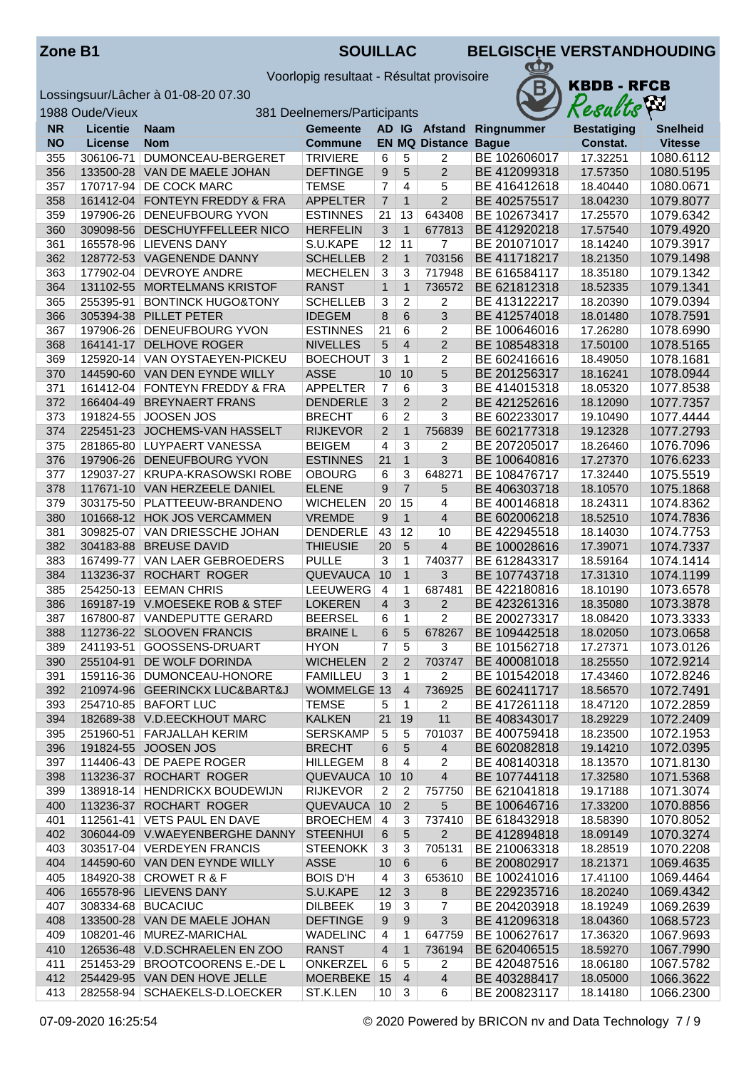Voorlopig resultaat - Résultat provisoire



|           | 1988 Oude/Vieux |                                | 381 Deelnemers/Participants |                 |                  |                       |              | Results            | VУ              |
|-----------|-----------------|--------------------------------|-----------------------------|-----------------|------------------|-----------------------|--------------|--------------------|-----------------|
| <b>NR</b> | <b>Licentie</b> | Naam                           | <b>Gemeente</b>             |                 |                  | AD IG Afstand         | Ringnummer   | <b>Bestatiging</b> | <b>Snelheid</b> |
| <b>NO</b> | <b>License</b>  | <b>Nom</b>                     | <b>Commune</b>              |                 |                  | <b>EN MQ Distance</b> | <b>Bague</b> | Constat.           | <b>Vitesse</b>  |
| 355       | 306106-71       | DUMONCEAU-BERGERET             | <b>TRIVIERE</b>             | 6               | 5                | 2                     | BE 102606017 | 17.32251           | 1080.6112       |
| 356       |                 | 133500-28 VAN DE MAELE JOHAN   | <b>DEFTINGE</b>             | 9               | 5                | $\overline{2}$        | BE 412099318 | 17.57350           | 1080.5195       |
| 357       |                 | 170717-94   DE COCK MARC       | <b>TEMSE</b>                | $\overline{7}$  | $\overline{4}$   | 5                     | BE 416412618 | 18.40440           | 1080.0671       |
| 358       |                 | 161412-04 FONTEYN FREDDY & FRA | <b>APPELTER</b>             | $\overline{7}$  | $\mathbf{1}$     | $\overline{2}$        | BE 402575517 | 18.04230           | 1079.8077       |
| 359       | 197906-26       | <b>DENEUFBOURG YVON</b>        | <b>ESTINNES</b>             | 21              | 13               | 643408                | BE 102673417 | 17.25570           | 1079.6342       |
| 360       |                 | 309098-56 DESCHUYFFELLEER NICO | <b>HERFELIN</b>             | 3               | $\mathbf{1}$     | 677813                | BE 412920218 | 17.57540           | 1079.4920       |
| 361       | 165578-96       | <b>LIEVENS DANY</b>            | S.U.KAPE                    | 12              | 11               | $\overline{7}$        | BE 201071017 | 18.14240           | 1079.3917       |
| 362       |                 | 128772-53 VAGENENDE DANNY      | <b>SCHELLEB</b>             | $\overline{2}$  | $\mathbf{1}$     | 703156                | BE 411718217 | 18.21350           | 1079.1498       |
| 363       | 177902-04       | <b>DEVROYE ANDRE</b>           | <b>MECHELEN</b>             | 3               | 3                | 717948                | BE 616584117 | 18.35180           | 1079.1342       |
| 364       | 131102-55       | <b>MORTELMANS KRISTOF</b>      | <b>RANST</b>                | $\mathbf{1}$    | $\mathbf{1}$     | 736572                | BE 621812318 | 18.52335           | 1079.1341       |
| 365       | 255395-91       | <b>BONTINCK HUGO&amp;TONY</b>  | <b>SCHELLEB</b>             | 3               | $\overline{c}$   | 2                     | BE 413122217 | 18.20390           | 1079.0394       |
| 366       | 305394-38       | PILLET PETER                   | <b>IDEGEM</b>               | $\,8\,$         | 6                | 3                     | BE 412574018 | 18.01480           | 1078.7591       |
| 367       | 197906-26       | <b>DENEUFBOURG YVON</b>        | <b>ESTINNES</b>             | 21              | 6                | 2                     | BE 100646016 | 17.26280           | 1078.6990       |
| 368       | 164141-17       | <b>DELHOVE ROGER</b>           | <b>NIVELLES</b>             | 5               | $\overline{4}$   | $\overline{2}$        | BE 108548318 | 17.50100           | 1078.5165       |
| 369       | 125920-14       | VAN OYSTAEYEN-PICKEU           | <b>BOECHOUT</b>             | 3               | $\mathbf{1}$     | 2                     | BE 602416616 | 18.49050           | 1078.1681       |
| 370       |                 | 144590-60 VAN DEN EYNDE WILLY  | <b>ASSE</b>                 | 10              | 10               | 5                     | BE 201256317 | 18.16241           | 1078.0944       |
| 371       | 161412-04       | FONTEYN FREDDY & FRA           | <b>APPELTER</b>             | $\overline{7}$  | 6                | 3                     | BE 414015318 | 18.05320           | 1077.8538       |
| 372       | 166404-49       | <b>BREYNAERT FRANS</b>         | <b>DENDERLE</b>             | 3               | $\overline{2}$   | $\overline{2}$        | BE 421252616 | 18.12090           | 1077.7357       |
| 373       | 191824-55       | JOOSEN JOS                     | <b>BRECHT</b>               | 6               | 2                | 3                     | BE 602233017 | 19.10490           | 1077.4444       |
| 374       | 225451-23       | JOCHEMS-VAN HASSELT            | <b>RIJKEVOR</b>             | $\overline{2}$  | $\mathbf{1}$     | 756839                | BE 602177318 | 19.12328           | 1077.2793       |
| 375       |                 | 281865-80 LUYPAERT VANESSA     | <b>BEIGEM</b>               | $\overline{4}$  | $\overline{3}$   | 2                     | BE 207205017 | 18.26460           | 1076.7096       |
| 376       |                 | 197906-26 DENEUFBOURG YVON     | <b>ESTINNES</b>             | 21              | $\mathbf{1}$     | 3                     | BE 100640816 | 17.27370           | 1076.6233       |
| 377       | 129037-27       | <b>KRUPA-KRASOWSKI ROBE</b>    | <b>OBOURG</b>               | 6               | 3                | 648271                | BE 108476717 | 17.32440           | 1075.5519       |
| 378       |                 | 117671-10 VAN HERZEELE DANIEL  | <b>ELENE</b>                | 9               | $\overline{7}$   | 5                     | BE 406303718 | 18.10570           | 1075.1868       |
| 379       | 303175-50       | PLATTEEUW-BRANDENO             | <b>WICHELEN</b>             | 20              | 15               | 4                     | BE 400146818 | 18.24311           | 1074.8362       |
| 380       |                 | 101668-12 HOK JOS VERCAMMEN    | <b>VREMDE</b>               | 9               | $\mathbf{1}$     | $\overline{4}$        | BE 602006218 | 18.52510           | 1074.7836       |
| 381       | 309825-07       | VAN DRIESSCHE JOHAN            | DENDERLE                    | 43              | 12               | 10                    | BE 422945518 | 18.14030           | 1074.7753       |
| 382       | 304183-88       | <b>BREUSE DAVID</b>            | <b>THIEUSIE</b>             | 20              | 5                | $\overline{4}$        | BE 100028616 | 17.39071           | 1074.7337       |
| 383       | 167499-77       | VAN LAER GEBROEDERS            | <b>PULLE</b>                | 3               | 1                | 740377                | BE 612843317 | 18.59164           | 1074.1414       |
| 384       | 113236-37       | ROCHART ROGER                  | <b>QUEVAUCA</b>             | 10              | $\mathbf{1}$     | 3                     | BE 107743718 | 17.31310           | 1074.1199       |
| 385       | 254250-13       | <b>EEMAN CHRIS</b>             | <b>LEEUWERG</b>             | $\overline{a}$  | 1                | 687481                | BE 422180816 | 18.10190           | 1073.6578       |
| 386       |                 | 169187-19 V.MOESEKE ROB & STEF | <b>LOKEREN</b>              | $\overline{4}$  | $\mathbf{3}$     | $\overline{2}$        | BE 423261316 | 18.35080           | 1073.3878       |
| 387       | 167800-87       | VANDEPUTTE GERARD              | <b>BEERSEL</b>              | 6               | $\mathbf{1}$     | $\overline{2}$        | BE 200273317 | 18.08420           | 1073.3333       |
| 388       |                 | 112736-22 SLOOVEN FRANCIS      | <b>BRAINE L</b>             | 6               | 5                | 678267                | BE 109442518 | 18.02050           | 1073.0658       |
| 389       | 241193-51       | GOOSSENS-DRUART                | <b>HYON</b>                 | 7               | 5                | 3                     | BE 101562718 | 17.27371           | 1073.0126       |
| 390       |                 | 255104-91 DE WOLF DORINDA      | <b>WICHELEN</b>             | 2               | 2                | 703747                | BE 400081018 | 18.25550           | 1072.9214       |
| 391       |                 | 159116-36   DUMONCEAU-HONORE   | <b>FAMILLEU</b>             | 3               | 1                | 2                     | BE 101542018 | 17.43460           | 1072.8246       |
| 392       |                 | 210974-96 GEERINCKX LUC&BART&J | WOMMELGE 13                 |                 | $\overline{4}$   | 736925                | BE 602411717 | 18.56570           | 1072.7491       |
| 393       |                 | 254710-85   BAFORT LUC         | <b>TEMSE</b>                | 5               | 1                | 2                     | BE 417261118 | 18.47120           | 1072.2859       |
| 394       |                 | 182689-38 V.D.EECKHOUT MARC    | <b>KALKEN</b>               | 21              | 19               | 11                    | BE 408343017 | 18.29229           | 1072.2409       |
| 395       |                 | 251960-51 FARJALLAH KERIM      | <b>SERSKAMP</b>             | 5               | 5                | 701037                | BE 400759418 | 18.23500           | 1072.1953       |
| 396       |                 | 191824-55 JOOSEN JOS           | <b>BRECHT</b>               | 6               | $\sqrt{5}$       | $\overline{4}$        | BE 602082818 | 19.14210           | 1072.0395       |
| 397       |                 | 114406-43 DE PAEPE ROGER       | <b>HILLEGEM</b>             | 8               | $\overline{4}$   | 2                     | BE 408140318 | 18.13570           | 1071.8130       |
| 398       |                 | 113236-37 ROCHART ROGER        | QUEVAUCA                    | 10              | 10               | $\overline{4}$        | BE 107744118 | 17.32580           | 1071.5368       |
| 399       |                 | 138918-14 HENDRICKX BOUDEWIJN  | <b>RIJKEVOR</b>             | $\overline{2}$  | $\overline{2}$   | 757750                | BE 621041818 | 19.17188           | 1071.3074       |
| 400       |                 | 113236-37 ROCHART ROGER        | QUEVAUCA                    | 10              | $\overline{2}$   | 5                     | BE 100646716 | 17.33200           | 1070.8856       |
| 401       |                 | 112561-41   VETS PAUL EN DAVE  | <b>BROECHEM</b>             | $\overline{4}$  | 3                | 737410                | BE 618432918 | 18.58390           | 1070.8052       |
| 402       |                 | 306044-09 V.WAEYENBERGHE DANNY | <b>STEENHUI</b>             | 6               | $\sqrt{5}$       | $\overline{2}$        | BE 412894818 | 18.09149           | 1070.3274       |
| 403       |                 | 303517-04 VERDEYEN FRANCIS     | <b>STEENOKK</b>             | 3               | 3                | 705131                | BE 210063318 | 18.28519           | 1070.2208       |
| 404       |                 | 144590-60 VAN DEN EYNDE WILLY  | <b>ASSE</b>                 | 10              | 6                | 6                     | BE 200802917 | 18.21371           | 1069.4635       |
| 405       |                 | 184920-38 CROWET R & F         | <b>BOIS D'H</b>             | $\overline{4}$  | 3                | 653610                | BE 100241016 | 17.41100           | 1069.4464       |
| 406       |                 | 165578-96 LIEVENS DANY         | S.U.KAPE                    | 12              | $\mathbf{3}$     | $\boldsymbol{8}$      | BE 229235716 | 18.20240           | 1069.4342       |
| 407       |                 | 308334-68   BUCACIUC           | <b>DILBEEK</b>              | 19              | 3                | 7                     | BE 204203918 | 18.19249           | 1069.2639       |
| 408       |                 | 133500-28 VAN DE MAELE JOHAN   | <b>DEFTINGE</b>             | 9               | $\boldsymbol{9}$ | 3                     | BE 412096318 | 18.04360           | 1068.5723       |
| 409       |                 | 108201-46 MUREZ-MARICHAL       | <b>WADELINC</b>             | 4               | 1                | 647759                | BE 100627617 | 17.36320           | 1067.9693       |
| 410       |                 | 126536-48 V.D.SCHRAELEN EN ZOO | <b>RANST</b>                | 4               | $\mathbf{1}$     | 736194                | BE 620406515 | 18.59270           | 1067.7990       |
| 411       |                 | 251453-29 BROOTCOORENS E.-DE L | ONKERZEL                    | 6               | 5                | 2                     | BE 420487516 | 18.06180           | 1067.5782       |
| 412       |                 | 254429-95 VAN DEN HOVE JELLE   | MOERBEKE 15                 |                 | $\overline{4}$   | $\overline{4}$        | BE 403288417 | 18.05000           | 1066.3622       |
| 413       |                 | 282558-94 SCHAEKELS-D.LOECKER  | ST.K.LEN                    | 10 <sub>1</sub> | $\mathbf{3}$     | 6                     | BE 200823117 | 18.14180           | 1066.2300       |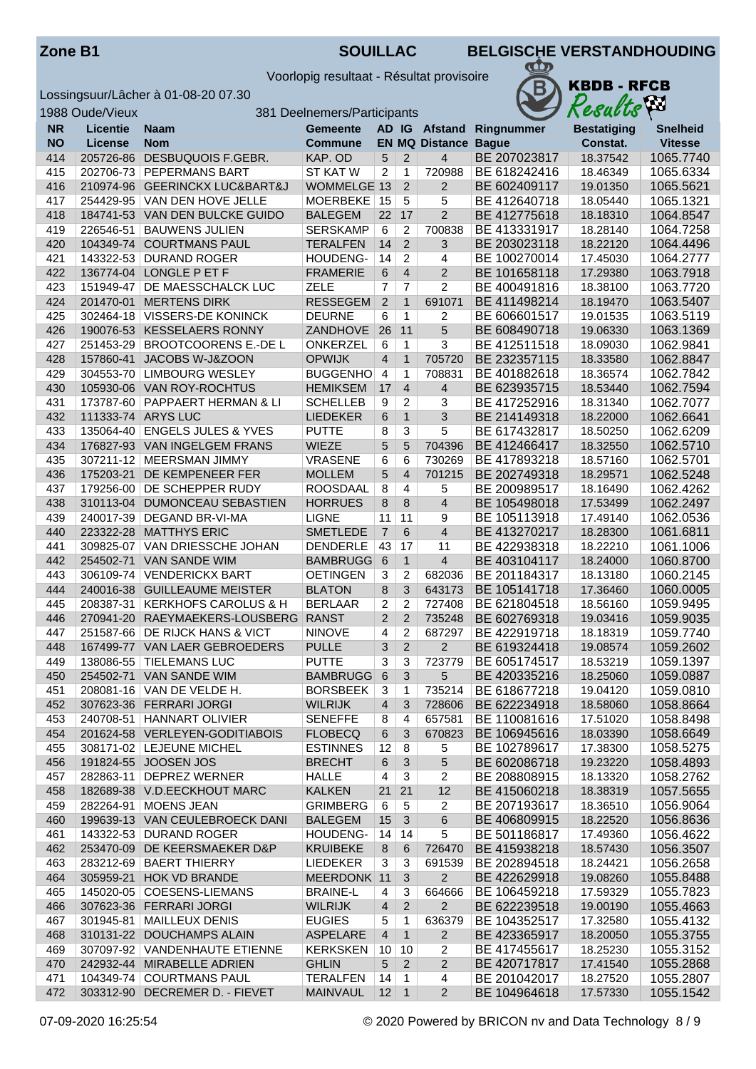| <b>Zone B1</b> |  |
|----------------|--|
|----------------|--|

**ZOUILLAC BELGISCHE VERSTANDHOUDING** 

Voorlopig resultaat - Résultat provisoire



|            | 1988 Oude/Vieux        | 381 Deelnemers/Participants                             |                                 |                     |                                  |                             |                              | VУ<br>Results        |                        |  |  |
|------------|------------------------|---------------------------------------------------------|---------------------------------|---------------------|----------------------------------|-----------------------------|------------------------------|----------------------|------------------------|--|--|
| <b>NR</b>  | <b>Licentie</b>        | Naam                                                    | <b>Gemeente</b>                 |                     |                                  | AD IG Afstand               | Ringnummer                   | <b>Bestatiging</b>   | <b>Snelheid</b>        |  |  |
| <b>NO</b>  | <b>License</b>         | <b>Nom</b>                                              | <b>Commune</b>                  |                     |                                  | <b>EN MQ Distance Bague</b> |                              | Constat.             | <b>Vitesse</b>         |  |  |
| 414        | 205726-86              | DESBUQUOIS F.GEBR.                                      | KAP. OD                         | 5                   | 2                                | $\overline{4}$              | BE 207023817                 | 18.37542             | 1065.7740              |  |  |
| 415        |                        | 202706-73 PEPERMANS BART                                | <b>ST KAT W</b>                 | 2                   | $\mathbf{1}$                     | 720988                      | BE 618242416                 | 18.46349             | 1065.6334              |  |  |
| 416        |                        | 210974-96 GEERINCKX LUC&BART&J                          | <b>WOMMELGE 13</b>              |                     | 2                                | $\overline{2}$              | BE 602409117                 | 19.01350             | 1065.5621              |  |  |
| 417        |                        | 254429-95   VAN DEN HOVE JELLE                          | MOERBEKE 15                     |                     | $\overline{5}$                   | 5                           | BE 412640718                 | 18.05440             | 1065.1321              |  |  |
| 418        |                        | 184741-53 VAN DEN BULCKE GUIDO                          | <b>BALEGEM</b>                  | 22                  | 17                               | $\overline{2}$              | BE 412775618                 | 18.18310             | 1064.8547              |  |  |
| 419        | 226546-51              | <b>BAUWENS JULIEN</b>                                   | <b>SERSKAMP</b>                 | 6                   | $\overline{2}$                   | 700838                      | BE 413331917                 | 18.28140             | 1064.7258              |  |  |
| 420        |                        | 104349-74 COURTMANS PAUL                                | <b>TERALFEN</b>                 | 14                  | 2                                | 3                           | BE 203023118                 | 18.22120             | 1064.4496              |  |  |
| 421        |                        | 143322-53 DURAND ROGER                                  | HOUDENG-                        | 14                  | $\overline{2}$                   | 4                           | BE 100270014                 | 17.45030             | 1064.2777              |  |  |
| 422        |                        | 136774-04 LONGLE P ET F                                 | <b>FRAMERIE</b>                 | 6                   | $\overline{4}$                   | $\overline{2}$              | BE 101658118                 | 17.29380             | 1063.7918              |  |  |
| 423<br>424 | 151949-47<br>201470-01 | <b>DE MAESSCHALCK LUC</b><br><b>MERTENS DIRK</b>        | <b>ZELE</b><br><b>RESSEGEM</b>  | 7<br>2              | 7<br>$\mathbf{1}$                | $\overline{2}$<br>691071    | BE 400491816<br>BE 411498214 | 18.38100<br>18.19470 | 1063.7720<br>1063.5407 |  |  |
| 425        | 302464-18              | <b>VISSERS-DE KONINCK</b>                               | <b>DEURNE</b>                   | 6                   | $\mathbf{1}$                     | 2                           | BE 606601517                 | 19.01535             | 1063.5119              |  |  |
| 426        |                        | 190076-53 KESSELAERS RONNY                              | ZANDHOVE                        | 26                  | 11                               | 5                           | BE 608490718                 | 19.06330             | 1063.1369              |  |  |
| 427        |                        | 251453-29 BROOTCOORENS E.-DE L                          | ONKERZEL                        | 6                   | $\mathbf{1}$                     | 3                           | BE 412511518                 | 18.09030             | 1062.9841              |  |  |
| 428        | 157860-41              | JACOBS W-J&ZOON                                         | <b>OPWIJK</b>                   | $\overline{4}$      | $\mathbf{1}$                     | 705720                      | BE 232357115                 | 18.33580             | 1062.8847              |  |  |
| 429        | 304553-70              | <b>LIMBOURG WESLEY</b>                                  | <b>BUGGENHO</b>                 | $\overline{4}$      | $\mathbf{1}$                     | 708831                      | BE 401882618                 | 18.36574             | 1062.7842              |  |  |
| 430        |                        | 105930-06 VAN ROY-ROCHTUS                               | <b>HEMIKSEM</b>                 | 17                  | $\overline{4}$                   | 4                           | BE 623935715                 | 18.53440             | 1062.7594              |  |  |
| 431        |                        | 173787-60 PAPPAERT HERMAN & LI                          | <b>SCHELLEB</b>                 | 9                   | 2                                | 3                           | BE 417252916                 | 18.31340             | 1062.7077              |  |  |
| 432        |                        | 111333-74 ARYS LUC                                      | <b>LIEDEKER</b>                 | 6                   | $\mathbf{1}$                     | 3                           | BE 214149318                 | 18.22000             | 1062.6641              |  |  |
| 433        |                        | 135064-40 ENGELS JULES & YVES                           | <b>PUTTE</b>                    | 8                   | 3                                | 5                           | BE 617432817                 | 18.50250             | 1062.6209              |  |  |
| 434        |                        | 176827-93 VAN INGELGEM FRANS                            | <b>WIEZE</b>                    | 5                   | 5                                | 704396                      | BE 412466417                 | 18.32550             | 1062.5710              |  |  |
| 435        |                        | 307211-12 MEERSMAN JIMMY                                | <b>VRASENE</b>                  | 6                   | 6                                | 730269                      | BE 417893218                 | 18.57160             | 1062.5701              |  |  |
| 436        | 175203-21              | DE KEMPENEER FER                                        | <b>MOLLEM</b>                   | 5                   | $\overline{4}$                   | 701215                      | BE 202749318                 | 18.29571             | 1062.5248              |  |  |
| 437        |                        | 179256-00 DE SCHEPPER RUDY                              | <b>ROOSDAAL</b>                 | 8                   | $\overline{4}$                   | 5                           | BE 200989517                 | 18.16490             | 1062.4262              |  |  |
| 438        |                        | 310113-04 DUMONCEAU SEBASTIEN                           | <b>HORRUES</b>                  | 8                   | 8                                | $\overline{\mathbf{4}}$     | BE 105498018                 | 17.53499             | 1062.2497              |  |  |
| 439        |                        | 240017-39   DEGAND BR-VI-MA                             | <b>LIGNE</b>                    | 11                  | 11                               | 9                           | BE 105113918                 | 17.49140             | 1062.0536              |  |  |
| 440        | 223322-28              | <b>MATTHYS ERIC</b>                                     | <b>SMETLEDE</b>                 | $\overline{7}$      | 6                                | $\overline{4}$              | BE 413270217                 | 18.28300             | 1061.6811              |  |  |
| 441        | 309825-07              | VAN DRIESSCHE JOHAN                                     | <b>DENDERLE</b>                 | 43                  | 17                               | 11                          | BE 422938318                 | 18.22210             | 1061.1006              |  |  |
| 442        | 254502-71              | <b>VAN SANDE WIM</b>                                    | <b>BAMBRUGG</b>                 | 6                   | $\mathbf{1}$                     | $\overline{\mathbf{4}}$     | BE 403104117                 | 18.24000             | 1060.8700              |  |  |
| 443        |                        | 306109-74 VENDERICKX BART                               | <b>OETINGEN</b>                 | 3                   | $\overline{c}$                   | 682036                      | BE 201184317                 | 18.13180             | 1060.2145              |  |  |
| 444        |                        | 240016-38 GUILLEAUME MEISTER                            | <b>BLATON</b>                   | 8                   | 3                                | 643173                      | BE 105141718                 | 17.36460             | 1060.0005              |  |  |
| 445        | 208387-31              | <b>KERKHOFS CAROLUS &amp; H</b>                         | <b>BERLAAR</b>                  | 2<br>$\overline{2}$ | $\overline{2}$<br>$\overline{2}$ | 727408<br>735248            | BE 621804518<br>BE 602769318 | 18.56160             | 1059.9495<br>1059.9035 |  |  |
| 446<br>447 | 270941-20<br>251587-66 | RAEYMAEKERS-LOUSBERG<br><b>DE RIJCK HANS &amp; VICT</b> | <b>RANST</b><br><b>NINOVE</b>   | 4                   | $\overline{2}$                   | 687297                      | BE 422919718                 | 19.03416<br>18.18319 | 1059.7740              |  |  |
| 448        |                        | 167499-77 VAN LAER GEBROEDERS                           | <b>PULLE</b>                    | 3                   | $\overline{2}$                   | $\overline{2}$              | BE 619324418                 | 19.08574             | 1059.2602              |  |  |
| 449        |                        | 138086-55 TIELEMANS LUC                                 | <b>PUTTE</b>                    | 3                   | 3                                | 723779                      | BE 605174517                 | 18.53219             | 1059.1397              |  |  |
| 450        |                        | 254502-71   VAN SANDE WIM                               | BAMBRUGG 6                      |                     | 3                                | 5                           | BE 420335216                 | 18.25060             | 1059.0887              |  |  |
| 451        |                        | 208081-16 VAN DE VELDE H.                               | <b>BORSBEEK</b>                 | 3                   | 1                                | 735214                      | BE 618677218                 | 19.04120             | 1059.0810              |  |  |
| 452        |                        | 307623-36 FERRARI JORGI                                 | <b>WILRIJK</b>                  | 4                   | 3                                | 728606                      | BE 622234918                 | 18.58060             | 1058.8664              |  |  |
| 453        |                        | 240708-51   HANNART OLIVIER                             | <b>SENEFFE</b>                  | 8                   | 4                                | 657581                      | BE 110081616                 | 17.51020             | 1058.8498              |  |  |
| 454        |                        | 201624-58 VERLEYEN-GODITIABOIS                          | <b>FLOBECQ</b>                  | 6                   | 3                                | 670823                      | BE 106945616                 | 18.03390             | 1058.6649              |  |  |
| 455        |                        | 308171-02 LEJEUNE MICHEL                                | <b>ESTINNES</b>                 | 12                  | 8                                | 5                           | BE 102789617                 | 17.38300             | 1058.5275              |  |  |
| 456        |                        | 191824-55 JOOSEN JOS                                    | <b>BRECHT</b>                   | 6                   | 3                                | 5                           | BE 602086718                 | 19.23220             | 1058.4893              |  |  |
| 457        |                        | 282863-11 DEPREZ WERNER                                 | <b>HALLE</b>                    | 4                   | 3                                | 2                           | BE 208808915                 | 18.13320             | 1058.2762              |  |  |
| 458        |                        | 182689-38 V.D.EECKHOUT MARC                             | <b>KALKEN</b>                   | 21                  | 21                               | 12                          | BE 415060218                 | 18.38319             | 1057.5655              |  |  |
| 459        |                        | 282264-91   MOENS JEAN                                  | <b>GRIMBERG</b>                 | 6                   | 5                                | 2                           | BE 207193617                 | 18.36510             | 1056.9064              |  |  |
| 460        |                        | 199639-13 VAN CEULEBROECK DANI                          | <b>BALEGEM</b>                  | 15                  | 3                                | 6                           | BE 406809915                 | 18.22520             | 1056.8636              |  |  |
| 461        |                        | 143322-53 DURAND ROGER                                  | HOUDENG-                        | 14                  | 14                               | 5                           | BE 501186817                 | 17.49360             | 1056.4622              |  |  |
| 462        |                        | 253470-09 DE KEERSMAEKER D&P                            | <b>KRUIBEKE</b>                 | 8                   | 6                                | 726470                      | BE 415938218                 | 18.57430             | 1056.3507              |  |  |
| 463        |                        | 283212-69 BAERT THIERRY                                 | <b>LIEDEKER</b>                 | 3                   | 3                                | 691539                      | BE 202894518                 | 18.24421             | 1056.2658              |  |  |
| 464        |                        | 305959-21 HOK VD BRANDE                                 | MEERDONK 11                     |                     | 3                                | $\overline{2}$              | BE 422629918                 | 19.08260             | 1055.8488              |  |  |
| 465        |                        | 145020-05 COESENS-LIEMANS                               | <b>BRAINE-L</b>                 | 4                   | 3                                | 664666                      | BE 106459218                 | 17.59329             | 1055.7823              |  |  |
| 466<br>467 |                        | 307623-36 FERRARI JORGI<br>301945-81   MAILLEUX DENIS   | <b>WILRIJK</b><br><b>EUGIES</b> | 4                   | $\overline{2}$                   | $\overline{2}$<br>636379    | BE 622239518<br>BE 104352517 | 19.00190<br>17.32580 | 1055.4663<br>1055.4132 |  |  |
| 468        |                        | 310131-22 DOUCHAMPS ALAIN                               | ASPELARE                        | 5<br>$\overline{4}$ | 1<br>$\mathbf{1}$                | $\overline{2}$              | BE 423365917                 | 18.20050             | 1055.3755              |  |  |
| 469        |                        | 307097-92 VANDENHAUTE ETIENNE                           | <b>KERKSKEN</b>                 | 10                  | 10                               | 2                           | BE 417455617                 | 18.25230             | 1055.3152              |  |  |
| 470        |                        | 242932-44 MIRABELLE ADRIEN                              | <b>GHLIN</b>                    | 5                   | $\overline{2}$                   | $\overline{c}$              | BE 420717817                 | 17.41540             | 1055.2868              |  |  |
| 471        |                        | 104349-74 COURTMANS PAUL                                | <b>TERALFEN</b>                 | 14                  | $\mathbf{1}$                     | 4                           | BE 201042017                 | 18.27520             | 1055.2807              |  |  |
| 472        |                        | 303312-90 DECREMER D. - FIEVET                          | MAINVAUL                        | $12 \mid 1$         |                                  | $\overline{2}$              | BE 104964618                 | 17.57330             | 1055.1542              |  |  |
|            |                        |                                                         |                                 |                     |                                  |                             |                              |                      |                        |  |  |